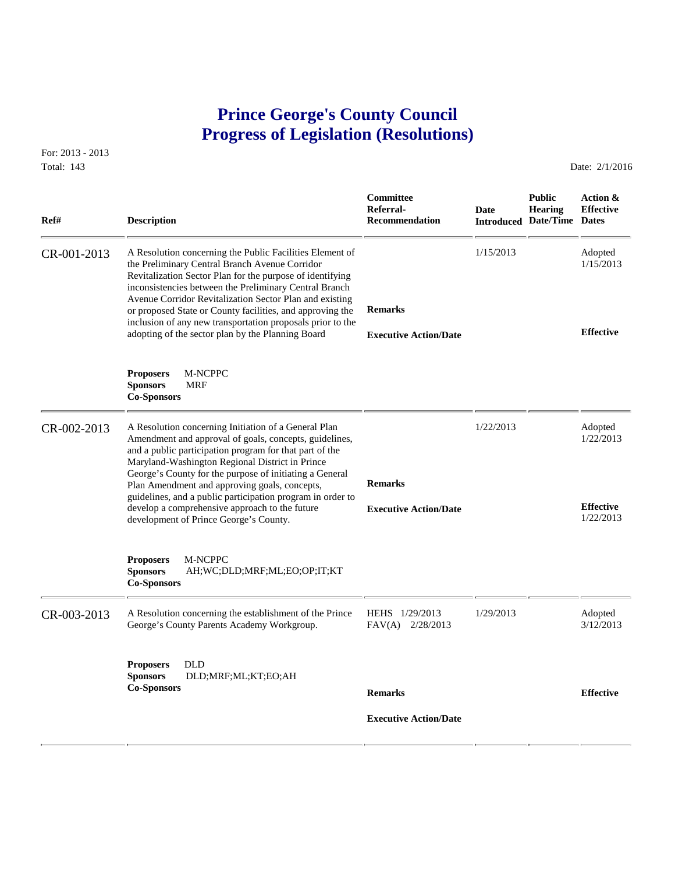## **Prince George's County Council Progress of Legislation (Resolutions)**

For: 2013 - 2013 Total: 143 Date: 2/1/2016

 **Committee Public Action & Referral- Date Hearing Effective Ref# Description Recommendation Introduced Date/Time Dates** CR-001-2013 A Resolution concerning the Public Facilities Element of 1/15/2013 Adopted<br>the Preliminary Central Branch Avenue Corridor 1/15/2013 1/15/2013 the Preliminary Central Branch Avenue Corridor Revitalization Sector Plan for the purpose of identifying inconsistencies between the Preliminary Central Branch Avenue Corridor Revitalization Sector Plan and existing or proposed State or County facilities, and approving the **Remarks** inclusion of any new transportation proposals prior to the adopting of the sector plan by the Planning Board **Effective Executive Action/Date Proposers** M-NCPPC **Sponsors** MRF **Co-Sponsors**  CR-002-2013 A Resolution concerning Initiation of a General Plan 1/22/2013 Adopted<br>Amendment and approval of goals, concepts, guidelines, 1/22/2013 1/22/2013 Amendment and approval of goals, concepts, guidelines, and a public participation program for that part of the Maryland-Washington Regional District in Prince George's County for the purpose of initiating a General Plan Amendment and approving goals, concepts, **Remarks** guidelines, and a public participation program in order to develop a comprehensive approach to the future **Effective Executive Action/Date** development of Prince George's County. **Proposers** M-NCPPC **Sponsors** AH;WC;DLD;MRF;ML;EO;OP;IT;KT **Co-Sponsors**  CR-003-2013 A Resolution concerning the establishment of the Prince HEHS 1/29/2013 1/29/2013 Adopted<br>George's County Parents Academy Workgroup. FAV(A) 2/28/2013 3/12/2013 3/12/2013 George's County Parents Academy Workgroup. **Proposers** DLD **Sponsors** DLD;MRF;ML;KT;EO;AH **Co-Sponsors Remarks Effective Executive Action/Date**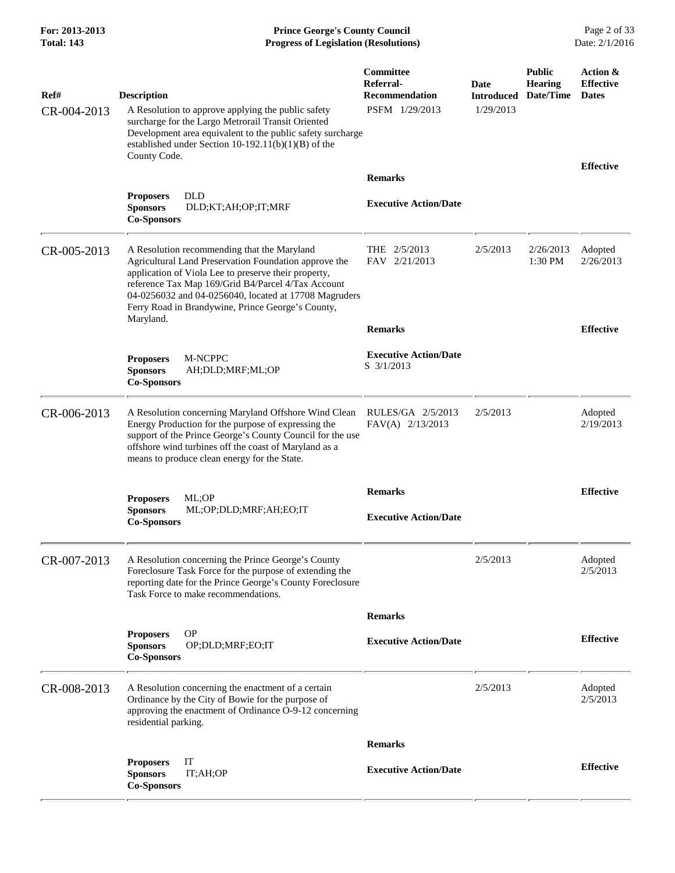**For: 2013-2013 Prince George's County Council** Page 2 of 33<br>**Progress of Legislation (Resolutions)** Date: 2/1/2016 **Total: 143 Progress of Legislation (Resolutions)** 

| Ref#        | <b>Description</b>                                                                                                                                                                                                                                                                                                               | Committee<br>Referral-<br><b>Recommendation</b> | Date<br><b>Introduced</b> | <b>Public</b><br><b>Hearing</b><br>Date/Time | Action &<br><b>Effective</b><br><b>Dates</b> |
|-------------|----------------------------------------------------------------------------------------------------------------------------------------------------------------------------------------------------------------------------------------------------------------------------------------------------------------------------------|-------------------------------------------------|---------------------------|----------------------------------------------|----------------------------------------------|
| CR-004-2013 | A Resolution to approve applying the public safety<br>surcharge for the Largo Metrorail Transit Oriented<br>Development area equivalent to the public safety surcharge<br>established under Section 10-192.11(b)(1)(B) of the<br>County Code.                                                                                    | PSFM 1/29/2013                                  | 1/29/2013                 |                                              |                                              |
|             |                                                                                                                                                                                                                                                                                                                                  | <b>Remarks</b>                                  |                           |                                              | <b>Effective</b>                             |
|             | <b>Proposers</b><br><b>DLD</b><br><b>Sponsors</b><br>DLD;KT;AH;OP;IT;MRF<br><b>Co-Sponsors</b>                                                                                                                                                                                                                                   | <b>Executive Action/Date</b>                    |                           |                                              |                                              |
| CR-005-2013 | A Resolution recommending that the Maryland<br>Agricultural Land Preservation Foundation approve the<br>application of Viola Lee to preserve their property,<br>reference Tax Map 169/Grid B4/Parcel 4/Tax Account<br>04-0256032 and 04-0256040, located at 17708 Magruders<br>Ferry Road in Brandywine, Prince George's County, | THE $2/5/2013$<br>FAV 2/21/2013                 | 2/5/2013                  | 2/26/2013<br>1:30 PM                         | Adopted<br>2/26/2013                         |
|             | Maryland.                                                                                                                                                                                                                                                                                                                        | <b>Remarks</b>                                  |                           |                                              | <b>Effective</b>                             |
|             | M-NCPPC<br><b>Proposers</b><br>AH;DLD;MRF;ML;OP<br><b>Sponsors</b><br><b>Co-Sponsors</b>                                                                                                                                                                                                                                         | <b>Executive Action/Date</b><br>S 3/1/2013      |                           |                                              |                                              |
| CR-006-2013 | A Resolution concerning Maryland Offshore Wind Clean<br>Energy Production for the purpose of expressing the<br>support of the Prince George's County Council for the use<br>offshore wind turbines off the coast of Maryland as a<br>means to produce clean energy for the State.                                                | RULES/GA 2/5/2013<br>FAV(A) 2/13/2013           | 2/5/2013                  |                                              | Adopted<br>2/19/2013                         |
|             |                                                                                                                                                                                                                                                                                                                                  | <b>Remarks</b>                                  |                           |                                              | <b>Effective</b>                             |
|             | ML;OP<br><b>Proposers</b><br><b>Sponsors</b><br>ML;OP;DLD;MRF;AH;EO;IT<br><b>Co-Sponsors</b>                                                                                                                                                                                                                                     | <b>Executive Action/Date</b>                    |                           |                                              |                                              |
| CR-007-2013 | A Resolution concerning the Prince George's County<br>Foreclosure Task Force for the purpose of extending the<br>reporting date for the Prince George's County Foreclosure<br>Task Force to make recommendations.                                                                                                                |                                                 | 2/5/2013                  |                                              | Adopted<br>2/5/2013                          |
|             |                                                                                                                                                                                                                                                                                                                                  | <b>Remarks</b>                                  |                           |                                              |                                              |
|             | <b>OP</b><br><b>Proposers</b><br><b>Sponsors</b><br>OP:DLD:MRF:EO:IT<br><b>Co-Sponsors</b>                                                                                                                                                                                                                                       | <b>Executive Action/Date</b>                    |                           |                                              | <b>Effective</b>                             |
| CR-008-2013 | A Resolution concerning the enactment of a certain<br>Ordinance by the City of Bowie for the purpose of<br>approving the enactment of Ordinance O-9-12 concerning<br>residential parking.                                                                                                                                        |                                                 | 2/5/2013                  |                                              | Adopted<br>2/5/2013                          |
|             |                                                                                                                                                                                                                                                                                                                                  | <b>Remarks</b>                                  |                           |                                              |                                              |
|             | IT<br><b>Proposers</b><br>IT;AH;OP<br><b>Sponsors</b><br><b>Co-Sponsors</b>                                                                                                                                                                                                                                                      | <b>Executive Action/Date</b>                    |                           |                                              | <b>Effective</b>                             |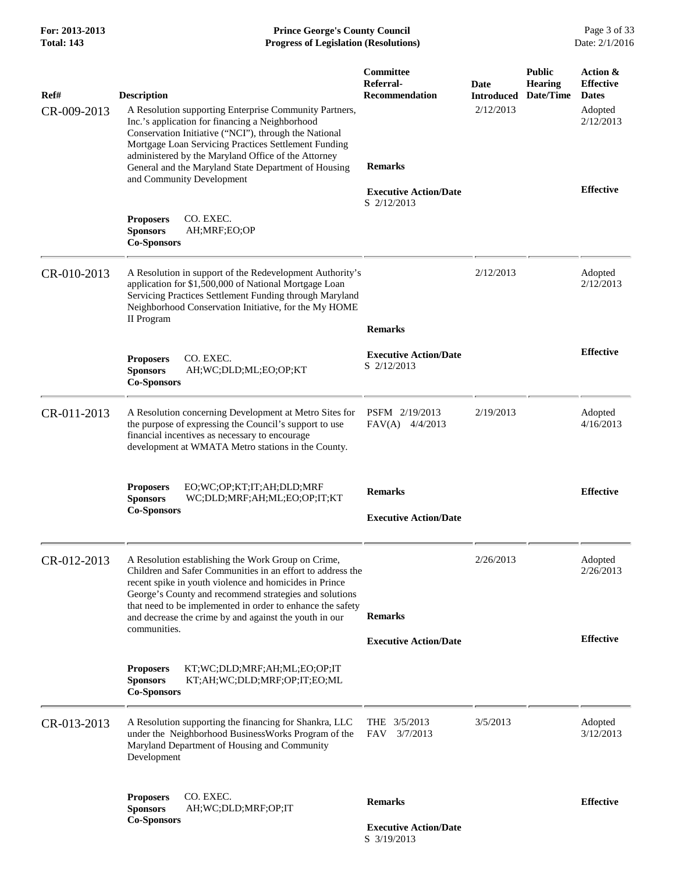**For: 2013-2013 Prince George's County Council** Page 3 of 33<br>**Progress of Legislation (Resolutions)** Date: 2/1/2016 **Progress of Legislation (Resolutions)** 

| Ref#<br>CR-009-2013 | <b>Description</b><br>A Resolution supporting Enterprise Community Partners,<br>Inc.'s application for financing a Neighborhood<br>Conservation Initiative ("NCI"), through the National<br>Mortgage Loan Servicing Practices Settlement Funding<br>administered by the Maryland Office of the Attorney<br>General and the Maryland State Department of Housing<br>and Community Development | Committee<br>Referral-<br><b>Recommendation</b><br><b>Remarks</b> | Date<br><b>Introduced</b><br>2/12/2013 | <b>Public</b><br><b>Hearing</b><br>Date/Time | Action &<br><b>Effective</b><br><b>Dates</b><br>Adopted<br>2/12/2013 |
|---------------------|----------------------------------------------------------------------------------------------------------------------------------------------------------------------------------------------------------------------------------------------------------------------------------------------------------------------------------------------------------------------------------------------|-------------------------------------------------------------------|----------------------------------------|----------------------------------------------|----------------------------------------------------------------------|
|                     | CO. EXEC.<br><b>Proposers</b><br><b>Sponsors</b><br>AH;MRF;EO;OP<br><b>Co-Sponsors</b>                                                                                                                                                                                                                                                                                                       | <b>Executive Action/Date</b><br>S 2/12/2013                       |                                        |                                              | <b>Effective</b>                                                     |
| CR-010-2013         | A Resolution in support of the Redevelopment Authority's<br>application for \$1,500,000 of National Mortgage Loan<br>Servicing Practices Settlement Funding through Maryland<br>Neighborhood Conservation Initiative, for the My HOME<br>II Program                                                                                                                                          |                                                                   | 2/12/2013                              |                                              | Adopted<br>2/12/2013                                                 |
|                     | <b>Proposers</b><br>CO. EXEC.<br><b>Sponsors</b><br>AH;WC;DLD;ML;EO;OP;KT<br><b>Co-Sponsors</b>                                                                                                                                                                                                                                                                                              | <b>Remarks</b><br><b>Executive Action/Date</b><br>S 2/12/2013     |                                        |                                              | <b>Effective</b>                                                     |
| CR-011-2013         | A Resolution concerning Development at Metro Sites for<br>the purpose of expressing the Council's support to use<br>financial incentives as necessary to encourage<br>development at WMATA Metro stations in the County.                                                                                                                                                                     | PSFM 2/19/2013<br>FAV(A)<br>4/4/2013                              | 2/19/2013                              |                                              | Adopted<br>4/16/2013                                                 |
|                     | EO;WC;OP;KT;IT;AH;DLD;MRF<br><b>Proposers</b><br><b>Sponsors</b><br>WC;DLD;MRF;AH;ML;EO;OP;IT;KT<br><b>Co-Sponsors</b>                                                                                                                                                                                                                                                                       | <b>Remarks</b><br><b>Executive Action/Date</b>                    |                                        |                                              | <b>Effective</b>                                                     |
| CR-012-2013         | A Resolution establishing the Work Group on Crime,<br>Children and Safer Communities in an effort to address the<br>recent spike in youth violence and homicides in Prince<br>George's County and recommend strategies and solutions<br>that need to be implemented in order to enhance the safety<br>and decrease the crime by and against the youth in our                                 | <b>Remarks</b>                                                    | 2/26/2013                              |                                              | Adopted<br>2/26/2013                                                 |
|                     | communities.                                                                                                                                                                                                                                                                                                                                                                                 | <b>Executive Action/Date</b>                                      |                                        |                                              | <b>Effective</b>                                                     |
|                     | KT;WC;DLD;MRF;AH;ML;EO;OP;IT<br><b>Proposers</b><br><b>Sponsors</b><br>KT;AH;WC;DLD;MRF;OP;IT;EO;ML<br><b>Co-Sponsors</b>                                                                                                                                                                                                                                                                    |                                                                   |                                        |                                              |                                                                      |
| CR-013-2013         | A Resolution supporting the financing for Shankra, LLC<br>under the Neighborhood BusinessWorks Program of the<br>Maryland Department of Housing and Community<br>Development                                                                                                                                                                                                                 | THE $3/5/2013$<br>3/7/2013<br>FAV                                 | 3/5/2013                               |                                              | Adopted<br>3/12/2013                                                 |
|                     | CO. EXEC.<br><b>Proposers</b><br><b>Sponsors</b><br>AH;WC;DLD;MRF;OP;IT<br><b>Co-Sponsors</b>                                                                                                                                                                                                                                                                                                | <b>Remarks</b><br><b>Executive Action/Date</b><br>S 3/19/2013     |                                        |                                              | <b>Effective</b>                                                     |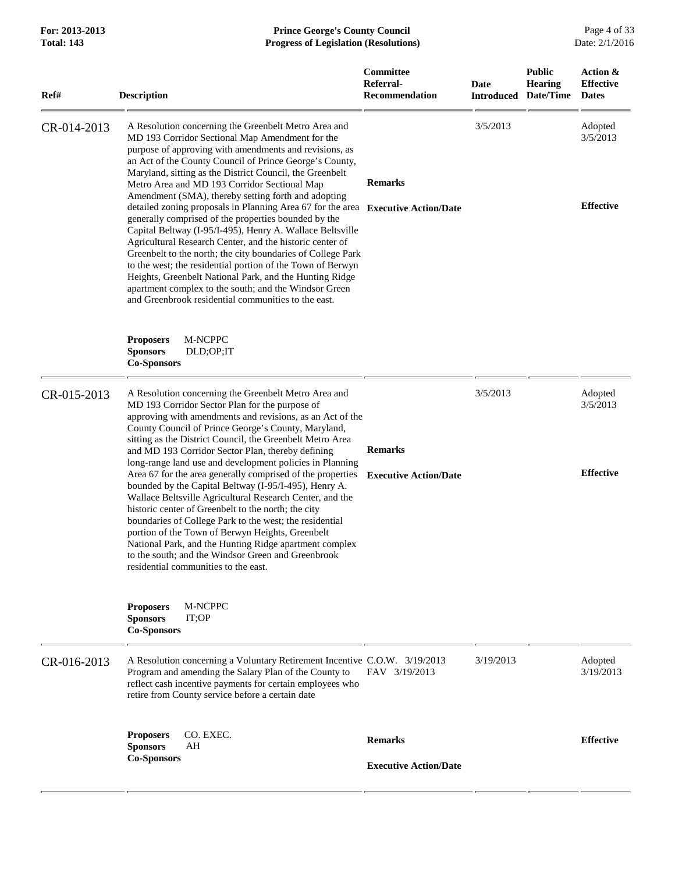| Ref#        | <b>Description</b>                                                                                                                                                                                                                                                                                                                                                                                                                                                                                                                                                                                                                                                                                                                                                                                                                                                                                                                                                           | Committee<br>Referral-<br><b>Recommendation</b> | <b>Date</b> | <b>Public</b><br>Hearing<br><b>Introduced Date/Time</b> | Action &<br><b>Effective</b><br><b>Dates</b> |
|-------------|------------------------------------------------------------------------------------------------------------------------------------------------------------------------------------------------------------------------------------------------------------------------------------------------------------------------------------------------------------------------------------------------------------------------------------------------------------------------------------------------------------------------------------------------------------------------------------------------------------------------------------------------------------------------------------------------------------------------------------------------------------------------------------------------------------------------------------------------------------------------------------------------------------------------------------------------------------------------------|-------------------------------------------------|-------------|---------------------------------------------------------|----------------------------------------------|
| CR-014-2013 | A Resolution concerning the Greenbelt Metro Area and<br>MD 193 Corridor Sectional Map Amendment for the<br>purpose of approving with amendments and revisions, as<br>an Act of the County Council of Prince George's County,<br>Maryland, sitting as the District Council, the Greenbelt<br>Metro Area and MD 193 Corridor Sectional Map<br>Amendment (SMA), thereby setting forth and adopting<br>detailed zoning proposals in Planning Area 67 for the area Executive Action/Date<br>generally comprised of the properties bounded by the<br>Capital Beltway (I-95/I-495), Henry A. Wallace Beltsville<br>Agricultural Research Center, and the historic center of<br>Greenbelt to the north; the city boundaries of College Park<br>to the west; the residential portion of the Town of Berwyn<br>Heights, Greenbelt National Park, and the Hunting Ridge<br>apartment complex to the south; and the Windsor Green<br>and Greenbrook residential communities to the east. | <b>Remarks</b>                                  | 3/5/2013    |                                                         | Adopted<br>3/5/2013<br><b>Effective</b>      |
|             | M-NCPPC<br><b>Proposers</b><br><b>Sponsors</b><br>DLD;OP;IT<br><b>Co-Sponsors</b>                                                                                                                                                                                                                                                                                                                                                                                                                                                                                                                                                                                                                                                                                                                                                                                                                                                                                            |                                                 |             |                                                         |                                              |
| CR-015-2013 | A Resolution concerning the Greenbelt Metro Area and<br>MD 193 Corridor Sector Plan for the purpose of<br>approving with amendments and revisions, as an Act of the<br>County Council of Prince George's County, Maryland,<br>sitting as the District Council, the Greenbelt Metro Area<br>and MD 193 Corridor Sector Plan, thereby defining<br>long-range land use and development policies in Planning<br>Area 67 for the area generally comprised of the properties<br>bounded by the Capital Beltway (I-95/I-495), Henry A.<br>Wallace Beltsville Agricultural Research Center, and the<br>historic center of Greenbelt to the north; the city<br>boundaries of College Park to the west; the residential<br>portion of the Town of Berwyn Heights, Greenbelt<br>National Park, and the Hunting Ridge apartment complex<br>to the south; and the Windsor Green and Greenbrook<br>residential communities to the east.                                                    | <b>Remarks</b><br><b>Executive Action/Date</b>  | 3/5/2013    |                                                         | Adopted<br>3/5/2013<br><b>Effective</b>      |
|             | <b>Proposers</b><br>M-NCPPC<br><b>Sponsors</b><br>IT;OP<br><b>Co-Sponsors</b>                                                                                                                                                                                                                                                                                                                                                                                                                                                                                                                                                                                                                                                                                                                                                                                                                                                                                                |                                                 |             |                                                         |                                              |
| CR-016-2013 | A Resolution concerning a Voluntary Retirement Incentive C.O.W. 3/19/2013<br>Program and amending the Salary Plan of the County to<br>reflect cash incentive payments for certain employees who<br>retire from County service before a certain date                                                                                                                                                                                                                                                                                                                                                                                                                                                                                                                                                                                                                                                                                                                          | FAV 3/19/2013                                   | 3/19/2013   |                                                         | Adopted<br>3/19/2013                         |
|             | <b>Proposers</b><br>CO. EXEC.<br><b>Sponsors</b><br>AH<br><b>Co-Sponsors</b>                                                                                                                                                                                                                                                                                                                                                                                                                                                                                                                                                                                                                                                                                                                                                                                                                                                                                                 | <b>Remarks</b><br><b>Executive Action/Date</b>  |             |                                                         | <b>Effective</b>                             |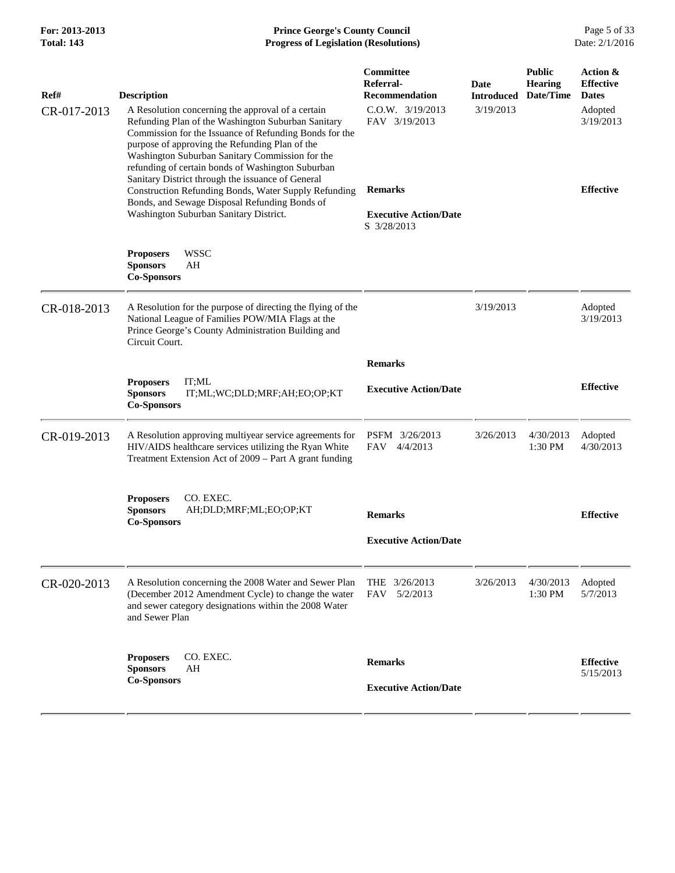| Ref#        | <b>Description</b>                                                                                                                                                                                                                                                                                                                                                               | Committee<br>Referral-<br>Recommendation    | <b>Date</b><br>Introduced | <b>Public</b><br><b>Hearing</b><br>Date/Time | Action &<br><b>Effective</b><br><b>Dates</b> |
|-------------|----------------------------------------------------------------------------------------------------------------------------------------------------------------------------------------------------------------------------------------------------------------------------------------------------------------------------------------------------------------------------------|---------------------------------------------|---------------------------|----------------------------------------------|----------------------------------------------|
| CR-017-2013 | A Resolution concerning the approval of a certain<br>Refunding Plan of the Washington Suburban Sanitary<br>Commission for the Issuance of Refunding Bonds for the<br>purpose of approving the Refunding Plan of the<br>Washington Suburban Sanitary Commission for the<br>refunding of certain bonds of Washington Suburban<br>Sanitary District through the issuance of General | $C.0.W.$ $3/19/2013$<br>FAV 3/19/2013       | 3/19/2013                 |                                              | Adopted<br>3/19/2013                         |
|             | Construction Refunding Bonds, Water Supply Refunding<br>Bonds, and Sewage Disposal Refunding Bonds of                                                                                                                                                                                                                                                                            | <b>Remarks</b>                              |                           |                                              | <b>Effective</b>                             |
|             | Washington Suburban Sanitary District.                                                                                                                                                                                                                                                                                                                                           | <b>Executive Action/Date</b><br>S 3/28/2013 |                           |                                              |                                              |
|             | <b>WSSC</b><br><b>Proposers</b><br><b>Sponsors</b><br>AH<br><b>Co-Sponsors</b>                                                                                                                                                                                                                                                                                                   |                                             |                           |                                              |                                              |
| CR-018-2013 | A Resolution for the purpose of directing the flying of the<br>National League of Families POW/MIA Flags at the<br>Prince George's County Administration Building and<br>Circuit Court.                                                                                                                                                                                          |                                             | 3/19/2013                 |                                              | Adopted<br>3/19/2013                         |
|             |                                                                                                                                                                                                                                                                                                                                                                                  | <b>Remarks</b>                              |                           |                                              |                                              |
|             | <b>Proposers</b><br>IT;ML<br>IT;ML;WC;DLD;MRF;AH;EO;OP;KT<br><b>Sponsors</b><br><b>Co-Sponsors</b>                                                                                                                                                                                                                                                                               | <b>Executive Action/Date</b>                |                           |                                              | <b>Effective</b>                             |
| CR-019-2013 | A Resolution approving multiyear service agreements for<br>HIV/AIDS healthcare services utilizing the Ryan White<br>Treatment Extension Act of 2009 – Part A grant funding                                                                                                                                                                                                       | PSFM 3/26/2013<br><b>FAV</b><br>4/4/2013    | 3/26/2013                 | 4/30/2013<br>1:30 PM                         | Adopted<br>4/30/2013                         |
|             | CO. EXEC.<br><b>Proposers</b><br><b>Sponsors</b><br>AH;DLD;MRF;ML;EO;OP;KT<br><b>Co-Sponsors</b>                                                                                                                                                                                                                                                                                 | <b>Remarks</b>                              |                           |                                              | <b>Effective</b>                             |
|             |                                                                                                                                                                                                                                                                                                                                                                                  | <b>Executive Action/Date</b>                |                           |                                              |                                              |
| CR-020-2013 | A Resolution concerning the 2008 Water and Sewer Plan<br>(December 2012 Amendment Cycle) to change the water<br>and sewer category designations within the 2008 Water<br>and Sewer Plan                                                                                                                                                                                          | THE 3/26/2013<br>5/2/2013<br><b>FAV</b>     | 3/26/2013                 | 4/30/2013<br>1:30 PM                         | Adopted<br>5/7/2013                          |
|             | CO. EXEC.<br><b>Proposers</b><br><b>Sponsors</b><br>AH<br><b>Co-Sponsors</b>                                                                                                                                                                                                                                                                                                     | <b>Remarks</b>                              |                           |                                              | <b>Effective</b><br>5/15/2013                |
|             |                                                                                                                                                                                                                                                                                                                                                                                  | <b>Executive Action/Date</b>                |                           |                                              |                                              |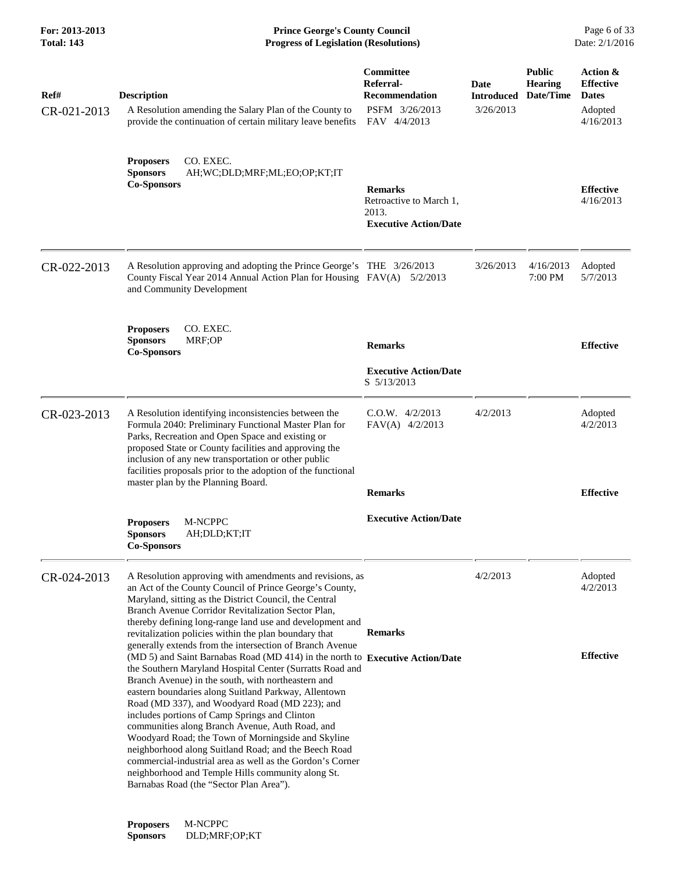| For: 2013-2013<br>Total: 143 | <b>Prince George's County Council</b><br><b>Progress of Legislation (Resolutions)</b>                                                                                                                                                                                                                                                                                                                                                                                                                                                                                                                                                                                                                                                                |                                                                                          |                                        |                                              | Page 6 of 33<br>Date: 2/1/2016                                       |
|------------------------------|------------------------------------------------------------------------------------------------------------------------------------------------------------------------------------------------------------------------------------------------------------------------------------------------------------------------------------------------------------------------------------------------------------------------------------------------------------------------------------------------------------------------------------------------------------------------------------------------------------------------------------------------------------------------------------------------------------------------------------------------------|------------------------------------------------------------------------------------------|----------------------------------------|----------------------------------------------|----------------------------------------------------------------------|
| Ref#<br>CR-021-2013          | <b>Description</b><br>A Resolution amending the Salary Plan of the County to<br>provide the continuation of certain military leave benefits                                                                                                                                                                                                                                                                                                                                                                                                                                                                                                                                                                                                          | <b>Committee</b><br>Referral-<br><b>Recommendation</b><br>PSFM 3/26/2013<br>FAV 4/4/2013 | Date<br><b>Introduced</b><br>3/26/2013 | <b>Public</b><br><b>Hearing</b><br>Date/Time | Action &<br><b>Effective</b><br><b>Dates</b><br>Adopted<br>4/16/2013 |
|                              | CO. EXEC.<br><b>Proposers</b><br><b>Sponsors</b><br>AH;WC;DLD;MRF;ML;EO;OP;KT;IT<br><b>Co-Sponsors</b>                                                                                                                                                                                                                                                                                                                                                                                                                                                                                                                                                                                                                                               | <b>Remarks</b><br>Retroactive to March 1,<br>2013.<br><b>Executive Action/Date</b>       |                                        |                                              | <b>Effective</b><br>4/16/2013                                        |
| CR-022-2013                  | A Resolution approving and adopting the Prince George's THE 3/26/2013<br>County Fiscal Year 2014 Annual Action Plan for Housing FAV(A) 5/2/2013<br>and Community Development                                                                                                                                                                                                                                                                                                                                                                                                                                                                                                                                                                         |                                                                                          | 3/26/2013                              | 4/16/2013<br>7:00 PM                         | Adopted<br>5/7/2013                                                  |
|                              | <b>Proposers</b><br>CO. EXEC.<br><b>Sponsors</b><br>MRF;OP<br><b>Co-Sponsors</b>                                                                                                                                                                                                                                                                                                                                                                                                                                                                                                                                                                                                                                                                     | <b>Remarks</b><br><b>Executive Action/Date</b><br>S 5/13/2013                            |                                        |                                              | <b>Effective</b>                                                     |
| CR-023-2013                  | A Resolution identifying inconsistencies between the<br>Formula 2040: Preliminary Functional Master Plan for<br>Parks, Recreation and Open Space and existing or<br>proposed State or County facilities and approving the<br>inclusion of any new transportation or other public<br>facilities proposals prior to the adoption of the functional<br>master plan by the Planning Board.                                                                                                                                                                                                                                                                                                                                                               | $C.O.W.$ 4/2/2013<br>$FAV(A)$ 4/2/2013<br><b>Remarks</b>                                 | 4/2/2013                               |                                              | Adopted<br>4/2/2013<br><b>Effective</b>                              |
|                              | M-NCPPC<br><b>Proposers</b><br><b>Sponsors</b><br>AH;DLD;KT;IT<br><b>Co-Sponsors</b>                                                                                                                                                                                                                                                                                                                                                                                                                                                                                                                                                                                                                                                                 | <b>Executive Action/Date</b>                                                             |                                        |                                              |                                                                      |
| CR-024-2013                  | A Resolution approving with amendments and revisions, as<br>an Act of the County Council of Prince George's County,<br>Maryland, sitting as the District Council, the Central<br>Branch Avenue Corridor Revitalization Sector Plan,<br>thereby defining long-range land use and development and<br>revitalization policies within the plan boundary that                                                                                                                                                                                                                                                                                                                                                                                             | <b>Remarks</b>                                                                           | 4/2/2013                               |                                              | Adopted<br>4/2/2013                                                  |
|                              | generally extends from the intersection of Branch Avenue<br>(MD 5) and Saint Barnabas Road (MD 414) in the north to Executive Action/Date<br>the Southern Maryland Hospital Center (Surratts Road and<br>Branch Avenue) in the south, with northeastern and<br>eastern boundaries along Suitland Parkway, Allentown<br>Road (MD 337), and Woodyard Road (MD 223); and<br>includes portions of Camp Springs and Clinton<br>communities along Branch Avenue, Auth Road, and<br>Woodyard Road; the Town of Morningside and Skyline<br>neighborhood along Suitland Road; and the Beech Road<br>commercial-industrial area as well as the Gordon's Corner<br>neighborhood and Temple Hills community along St.<br>Barnabas Road (the "Sector Plan Area"). |                                                                                          |                                        |                                              | <b>Effective</b>                                                     |
|                              |                                                                                                                                                                                                                                                                                                                                                                                                                                                                                                                                                                                                                                                                                                                                                      |                                                                                          |                                        |                                              |                                                                      |

**Proposers** M-NCPPC **Sponsors** DLD;MRF;OP;KT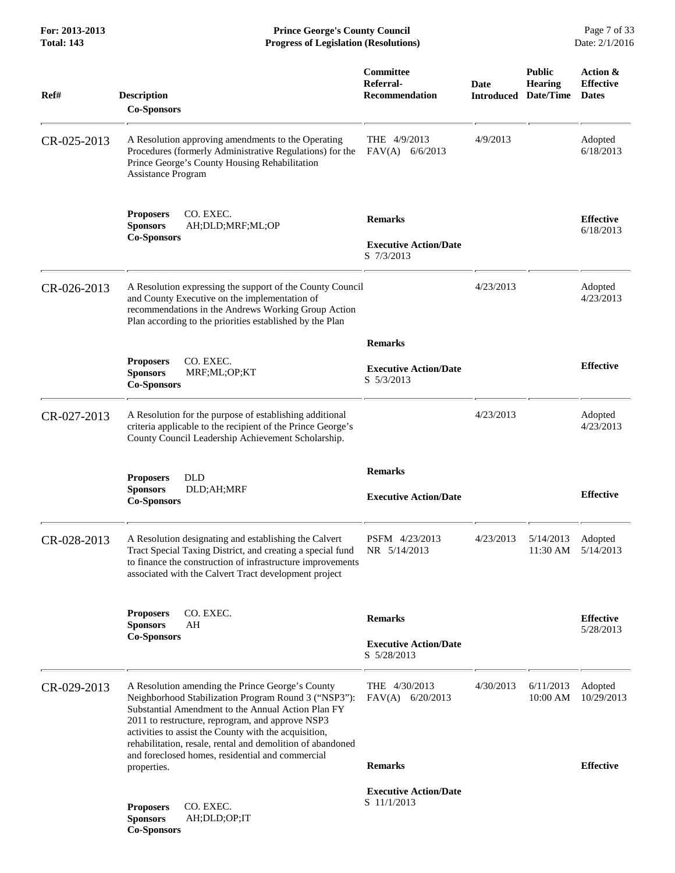**For: 2013-2013 Prince George's County Council** Page 7 of 33<br>**Progress of Legislation (Resolutions)** Date: 2/1/2016 **Progress of Legislation (Resolutions) Progress of Legislation (Resolutions)** 

| Ref#        | <b>Description</b><br><b>Co-Sponsors</b>                                                                                                                                                                                                                                                                                                                                                      | Committee<br>Referral-<br><b>Recommendation</b>              | <b>Date</b><br><b>Introduced</b> | <b>Public</b><br><b>Hearing</b><br>Date/Time | Action &<br><b>Effective</b><br><b>Dates</b> |
|-------------|-----------------------------------------------------------------------------------------------------------------------------------------------------------------------------------------------------------------------------------------------------------------------------------------------------------------------------------------------------------------------------------------------|--------------------------------------------------------------|----------------------------------|----------------------------------------------|----------------------------------------------|
| CR-025-2013 | A Resolution approving amendments to the Operating<br>Procedures (formerly Administrative Regulations) for the<br>Prince George's County Housing Rehabilitation<br>Assistance Program                                                                                                                                                                                                         | THE 4/9/2013<br>$FAV(A)$ 6/6/2013                            | 4/9/2013                         |                                              | Adopted<br>6/18/2013                         |
|             | CO. EXEC.<br><b>Proposers</b><br><b>Sponsors</b><br>AH;DLD;MRF;ML;OP<br><b>Co-Sponsors</b>                                                                                                                                                                                                                                                                                                    | <b>Remarks</b><br><b>Executive Action/Date</b><br>S 7/3/2013 |                                  |                                              | <b>Effective</b><br>6/18/2013                |
| CR-026-2013 | A Resolution expressing the support of the County Council<br>and County Executive on the implementation of<br>recommendations in the Andrews Working Group Action<br>Plan according to the priorities established by the Plan                                                                                                                                                                 |                                                              | 4/23/2013                        |                                              | Adopted<br>4/23/2013                         |
|             |                                                                                                                                                                                                                                                                                                                                                                                               | <b>Remarks</b>                                               |                                  |                                              |                                              |
|             | <b>Proposers</b><br>CO. EXEC.<br><b>Sponsors</b><br>MRF;ML;OP;KT<br><b>Co-Sponsors</b>                                                                                                                                                                                                                                                                                                        | <b>Executive Action/Date</b><br>S 5/3/2013                   |                                  |                                              | <b>Effective</b>                             |
| CR-027-2013 | A Resolution for the purpose of establishing additional<br>criteria applicable to the recipient of the Prince George's<br>County Council Leadership Achievement Scholarship.                                                                                                                                                                                                                  |                                                              | 4/23/2013                        |                                              | Adopted<br>4/23/2013                         |
|             |                                                                                                                                                                                                                                                                                                                                                                                               | <b>Remarks</b>                                               |                                  |                                              |                                              |
|             | <b>DLD</b><br><b>Proposers</b><br><b>Sponsors</b><br>DLD;AH;MRF<br><b>Co-Sponsors</b>                                                                                                                                                                                                                                                                                                         | <b>Executive Action/Date</b>                                 |                                  |                                              | <b>Effective</b>                             |
| CR-028-2013 | A Resolution designating and establishing the Calvert<br>Tract Special Taxing District, and creating a special fund<br>to finance the construction of infrastructure improvements<br>associated with the Calvert Tract development project                                                                                                                                                    | PSFM 4/23/2013<br>NR 5/14/2013                               | 4/23/2013                        | 5/14/2013<br>11:30 AM                        | Adopted<br>5/14/2013                         |
|             | CO. EXEC.                                                                                                                                                                                                                                                                                                                                                                                     |                                                              |                                  |                                              |                                              |
|             | <b>Proposers</b><br><b>Sponsors</b><br>AH                                                                                                                                                                                                                                                                                                                                                     | <b>Remarks</b>                                               |                                  |                                              | <b>Effective</b><br>5/28/2013                |
|             | <b>Co-Sponsors</b>                                                                                                                                                                                                                                                                                                                                                                            | <b>Executive Action/Date</b><br>S 5/28/2013                  |                                  |                                              |                                              |
| CR-029-2013 | A Resolution amending the Prince George's County<br>Neighborhood Stabilization Program Round 3 ("NSP3"):<br>Substantial Amendment to the Annual Action Plan FY<br>2011 to restructure, reprogram, and approve NSP3<br>activities to assist the County with the acquisition,<br>rehabilitation, resale, rental and demolition of abandoned<br>and foreclosed homes, residential and commercial | THE 4/30/2013<br>$FAV(A)$ 6/20/2013                          | 4/30/2013                        | 6/11/2013<br>10:00 AM                        | Adopted<br>10/29/2013                        |
|             | properties.                                                                                                                                                                                                                                                                                                                                                                                   | <b>Remarks</b>                                               |                                  |                                              | <b>Effective</b>                             |
|             | CO. EXEC.<br><b>Proposers</b><br><b>Sponsors</b><br>AH;DLD;OP;IT<br><b>Co-Sponsors</b>                                                                                                                                                                                                                                                                                                        | <b>Executive Action/Date</b><br>S 11/1/2013                  |                                  |                                              |                                              |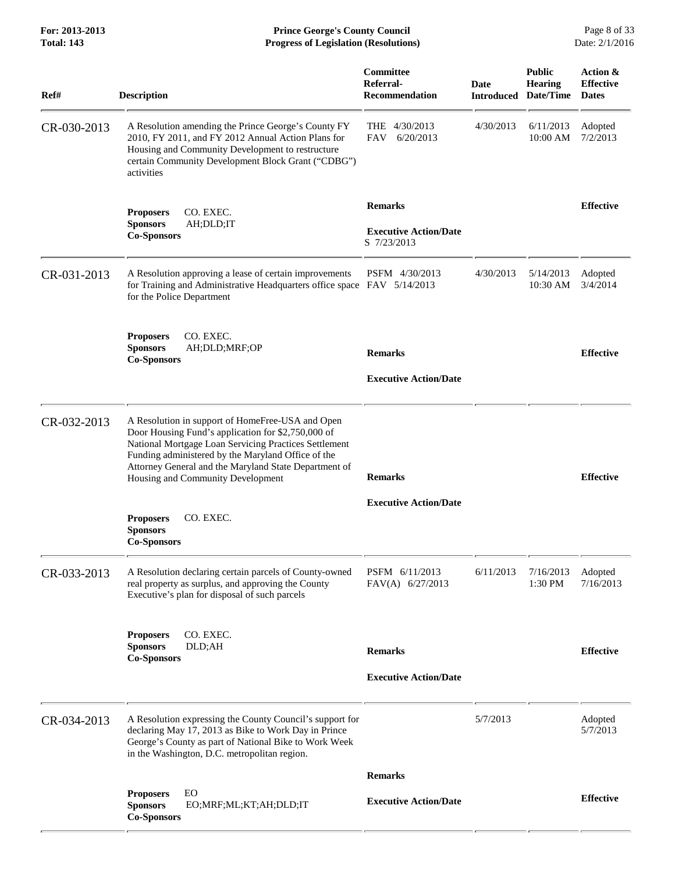**For: 2013-2013 Prince George's County Council** Page 8 of 33<br>**Progress of Legislation (Resolutions)** Date: 2/1/2016 **Total: 143 Progress of Legislation (Resolutions)** 

| Ref#        | <b>Description</b>                                                                                                                                                                                                                                                                                                  | Committee<br>Referral-<br><b>Recommendation</b>               | <b>Date</b><br><b>Introduced</b> | <b>Public</b><br>Hearing<br>Date/Time | Action &<br><b>Effective</b><br><b>Dates</b> |
|-------------|---------------------------------------------------------------------------------------------------------------------------------------------------------------------------------------------------------------------------------------------------------------------------------------------------------------------|---------------------------------------------------------------|----------------------------------|---------------------------------------|----------------------------------------------|
| CR-030-2013 | A Resolution amending the Prince George's County FY<br>2010, FY 2011, and FY 2012 Annual Action Plans for<br>Housing and Community Development to restructure<br>certain Community Development Block Grant ("CDBG")<br>activities                                                                                   | THE<br>4/30/2013<br><b>FAV</b><br>6/20/2013                   | 4/30/2013                        | 6/11/2013<br>10:00 AM                 | Adopted<br>7/2/2013                          |
|             | CO. EXEC.<br><b>Proposers</b><br><b>Sponsors</b><br>AH;DLD;IT<br><b>Co-Sponsors</b>                                                                                                                                                                                                                                 | <b>Remarks</b><br><b>Executive Action/Date</b><br>S 7/23/2013 |                                  |                                       | <b>Effective</b>                             |
| CR-031-2013 | A Resolution approving a lease of certain improvements<br>for Training and Administrative Headquarters office space FAV 5/14/2013<br>for the Police Department                                                                                                                                                      | PSFM 4/30/2013                                                | 4/30/2013                        | 5/14/2013<br>10:30 AM                 | Adopted<br>3/4/2014                          |
|             | CO. EXEC.<br><b>Proposers</b><br><b>Sponsors</b><br>AH;DLD;MRF;OP<br><b>Co-Sponsors</b>                                                                                                                                                                                                                             | <b>Remarks</b><br><b>Executive Action/Date</b>                |                                  |                                       | <b>Effective</b>                             |
| CR-032-2013 | A Resolution in support of HomeFree-USA and Open<br>Door Housing Fund's application for \$2,750,000 of<br>National Mortgage Loan Servicing Practices Settlement<br>Funding administered by the Maryland Office of the<br>Attorney General and the Maryland State Department of<br>Housing and Community Development | <b>Remarks</b>                                                |                                  |                                       | <b>Effective</b>                             |
|             | CO. EXEC.<br><b>Proposers</b><br><b>Sponsors</b><br><b>Co-Sponsors</b>                                                                                                                                                                                                                                              | <b>Executive Action/Date</b>                                  |                                  |                                       |                                              |
| CR-033-2013 | A Resolution declaring certain parcels of County-owned<br>real property as surplus, and approving the County<br>Executive's plan for disposal of such parcels                                                                                                                                                       | PSFM 6/11/2013<br>FAV(A) $6/27/2013$                          | 6/11/2013                        | 7/16/2013<br>1:30 PM                  | Adopted<br>7/16/2013                         |
|             | CO. EXEC.<br><b>Proposers</b><br><b>Sponsors</b><br>DLD;AH<br><b>Co-Sponsors</b>                                                                                                                                                                                                                                    | <b>Remarks</b><br><b>Executive Action/Date</b>                |                                  |                                       | <b>Effective</b>                             |
| CR-034-2013 | A Resolution expressing the County Council's support for<br>declaring May 17, 2013 as Bike to Work Day in Prince<br>George's County as part of National Bike to Work Week<br>in the Washington, D.C. metropolitan region.                                                                                           |                                                               | 5/7/2013                         |                                       | Adopted<br>5/7/2013                          |
|             |                                                                                                                                                                                                                                                                                                                     | <b>Remarks</b>                                                |                                  |                                       |                                              |
|             | EO<br><b>Proposers</b><br><b>Sponsors</b><br>EO;MRF;ML;KT;AH;DLD;IT<br><b>Co-Sponsors</b>                                                                                                                                                                                                                           | <b>Executive Action/Date</b>                                  |                                  |                                       | <b>Effective</b>                             |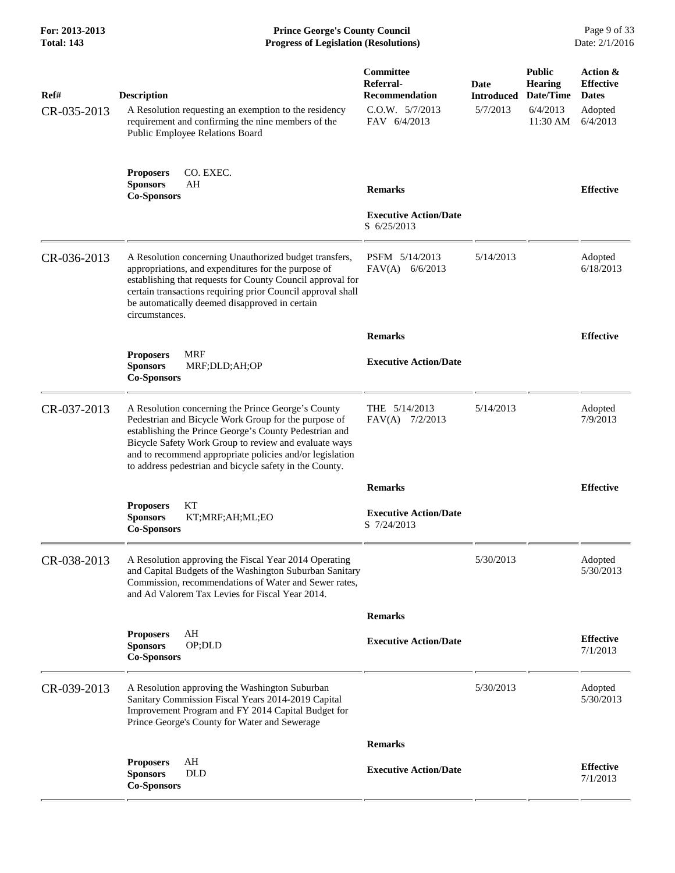**For: 2013-2013 Prince George's County Council** Page 9 of 33<br>**Progress of Legislation (Resolutions)** Date: 2/1/2016 **Total: 143 Progress of Legislation (Resolutions)** 

| Ref#        | <b>Description</b>                                                                                                                                                                                                                                                                                                                                   | Committee<br>Referral-<br><b>Recommendation</b> | Date<br><b>Introduced</b> | <b>Public</b><br><b>Hearing</b><br>Date/Time | Action &<br><b>Effective</b><br><b>Dates</b> |
|-------------|------------------------------------------------------------------------------------------------------------------------------------------------------------------------------------------------------------------------------------------------------------------------------------------------------------------------------------------------------|-------------------------------------------------|---------------------------|----------------------------------------------|----------------------------------------------|
| CR-035-2013 | A Resolution requesting an exemption to the residency<br>requirement and confirming the nine members of the<br>Public Employee Relations Board                                                                                                                                                                                                       | C.O.W. 5/7/2013<br>FAV 6/4/2013                 | 5/7/2013                  | 6/4/2013<br>11:30 AM                         | Adopted<br>6/4/2013                          |
|             | CO. EXEC.<br><b>Proposers</b><br><b>Sponsors</b><br>AΗ<br><b>Co-Sponsors</b>                                                                                                                                                                                                                                                                         | <b>Remarks</b>                                  |                           |                                              | <b>Effective</b>                             |
|             |                                                                                                                                                                                                                                                                                                                                                      | <b>Executive Action/Date</b><br>S 6/25/2013     |                           |                                              |                                              |
| CR-036-2013 | A Resolution concerning Unauthorized budget transfers,<br>appropriations, and expenditures for the purpose of<br>establishing that requests for County Council approval for<br>certain transactions requiring prior Council approval shall<br>be automatically deemed disapproved in certain<br>circumstances.                                       | PSFM 5/14/2013<br>$FAV(A)$ 6/6/2013             | 5/14/2013                 |                                              | Adopted<br>6/18/2013                         |
|             |                                                                                                                                                                                                                                                                                                                                                      | <b>Remarks</b>                                  |                           |                                              | <b>Effective</b>                             |
|             | <b>MRF</b><br><b>Proposers</b><br>MRF;DLD;AH;OP<br><b>Sponsors</b><br><b>Co-Sponsors</b>                                                                                                                                                                                                                                                             | <b>Executive Action/Date</b>                    |                           |                                              |                                              |
| CR-037-2013 | A Resolution concerning the Prince George's County<br>Pedestrian and Bicycle Work Group for the purpose of<br>establishing the Prince George's County Pedestrian and<br>Bicycle Safety Work Group to review and evaluate ways<br>and to recommend appropriate policies and/or legislation<br>to address pedestrian and bicycle safety in the County. | THE $5/14/2013$<br>$FAV(A)$ 7/2/2013            | 5/14/2013                 |                                              | Adopted<br>7/9/2013                          |
|             |                                                                                                                                                                                                                                                                                                                                                      | <b>Remarks</b>                                  |                           |                                              | <b>Effective</b>                             |
|             | KT<br><b>Proposers</b><br><b>Sponsors</b><br>KT;MRF;AH;ML;EO<br><b>Co-Sponsors</b>                                                                                                                                                                                                                                                                   | <b>Executive Action/Date</b><br>S 7/24/2013     |                           |                                              |                                              |
| CR-038-2013 | A Resolution approving the Fiscal Year 2014 Operating<br>and Capital Budgets of the Washington Suburban Sanitary<br>Commission, recommendations of Water and Sewer rates,<br>and Ad Valorem Tax Levies for Fiscal Year 2014.                                                                                                                         |                                                 | 5/30/2013                 |                                              | Adopted<br>5/30/2013                         |
|             |                                                                                                                                                                                                                                                                                                                                                      | <b>Remarks</b>                                  |                           |                                              |                                              |
|             | AH<br><b>Proposers</b><br><b>Sponsors</b><br>OP;DLD<br><b>Co-Sponsors</b>                                                                                                                                                                                                                                                                            | <b>Executive Action/Date</b>                    |                           |                                              | <b>Effective</b><br>7/1/2013                 |
| CR-039-2013 | A Resolution approving the Washington Suburban<br>Sanitary Commission Fiscal Years 2014-2019 Capital<br>Improvement Program and FY 2014 Capital Budget for<br>Prince George's County for Water and Sewerage                                                                                                                                          |                                                 | 5/30/2013                 |                                              | Adopted<br>5/30/2013                         |
|             |                                                                                                                                                                                                                                                                                                                                                      | <b>Remarks</b>                                  |                           |                                              |                                              |
|             | <b>Proposers</b><br>AH<br><b>DLD</b><br><b>Sponsors</b><br><b>Co-Sponsors</b>                                                                                                                                                                                                                                                                        | <b>Executive Action/Date</b>                    |                           |                                              | <b>Effective</b><br>7/1/2013                 |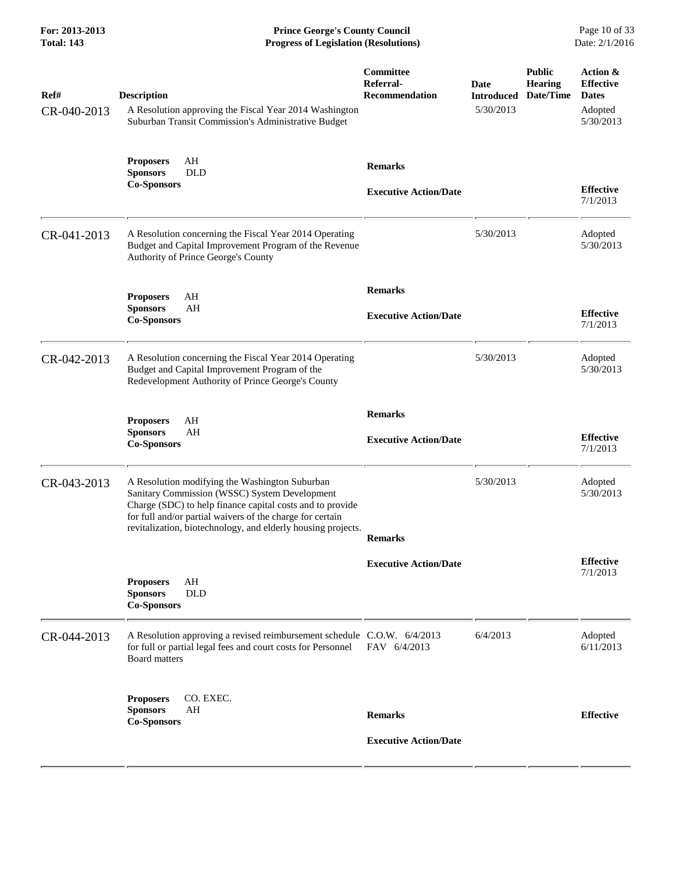**For: 2013-2013 Prince George's County Council** Page 10 of 33<br>**Progress of Legislation (Resolutions)** Date: 2/1/2016 **Total: 143 Progress of Legislation (Resolutions)** 

| Ref#<br>CR-040-2013 | <b>Description</b><br>A Resolution approving the Fiscal Year 2014 Washington<br>Suburban Transit Commission's Administrative Budget                                                                                                                                                       | Committee<br>Referral-<br><b>Recommendation</b> | Date<br><b>Introduced</b><br>5/30/2013 | <b>Public</b><br><b>Hearing</b><br>Date/Time | Action &<br><b>Effective</b><br><b>Dates</b><br>Adopted<br>5/30/2013 |
|---------------------|-------------------------------------------------------------------------------------------------------------------------------------------------------------------------------------------------------------------------------------------------------------------------------------------|-------------------------------------------------|----------------------------------------|----------------------------------------------|----------------------------------------------------------------------|
|                     | AH<br><b>Proposers</b><br><b>Sponsors</b><br><b>DLD</b><br><b>Co-Sponsors</b>                                                                                                                                                                                                             | <b>Remarks</b><br><b>Executive Action/Date</b>  |                                        |                                              | <b>Effective</b><br>7/1/2013                                         |
| CR-041-2013         | A Resolution concerning the Fiscal Year 2014 Operating<br>Budget and Capital Improvement Program of the Revenue<br>Authority of Prince George's County                                                                                                                                    |                                                 | 5/30/2013                              |                                              | Adopted<br>5/30/2013                                                 |
|                     | <b>Proposers</b><br>AH<br><b>Sponsors</b><br>AH<br><b>Co-Sponsors</b>                                                                                                                                                                                                                     | <b>Remarks</b><br><b>Executive Action/Date</b>  |                                        |                                              | <b>Effective</b><br>7/1/2013                                         |
| CR-042-2013         | A Resolution concerning the Fiscal Year 2014 Operating<br>Budget and Capital Improvement Program of the<br>Redevelopment Authority of Prince George's County                                                                                                                              |                                                 | 5/30/2013                              |                                              | Adopted<br>5/30/2013                                                 |
|                     | <b>Proposers</b><br>AH<br>AH<br><b>Sponsors</b><br><b>Co-Sponsors</b>                                                                                                                                                                                                                     | <b>Remarks</b><br><b>Executive Action/Date</b>  |                                        |                                              | <b>Effective</b><br>7/1/2013                                         |
| CR-043-2013         | A Resolution modifying the Washington Suburban<br>Sanitary Commission (WSSC) System Development<br>Charge (SDC) to help finance capital costs and to provide<br>for full and/or partial waivers of the charge for certain<br>revitalization, biotechnology, and elderly housing projects. | <b>Remarks</b>                                  | 5/30/2013                              |                                              | Adopted<br>5/30/2013                                                 |
|                     | AH<br><b>Proposers</b><br><b>Sponsors</b><br><b>DLD</b><br><b>Co-Sponsors</b>                                                                                                                                                                                                             | <b>Executive Action/Date</b>                    |                                        |                                              | <b>Effective</b><br>7/1/2013                                         |
| CR-044-2013         | A Resolution approving a revised reimbursement schedule C.O.W. 6/4/2013<br>for full or partial legal fees and court costs for Personnel<br><b>Board matters</b>                                                                                                                           | FAV 6/4/2013                                    | 6/4/2013                               |                                              | Adopted<br>6/11/2013                                                 |
|                     | <b>Proposers</b><br>CO. EXEC.<br>AH<br><b>Sponsors</b><br><b>Co-Sponsors</b>                                                                                                                                                                                                              | <b>Remarks</b><br><b>Executive Action/Date</b>  |                                        |                                              | <b>Effective</b>                                                     |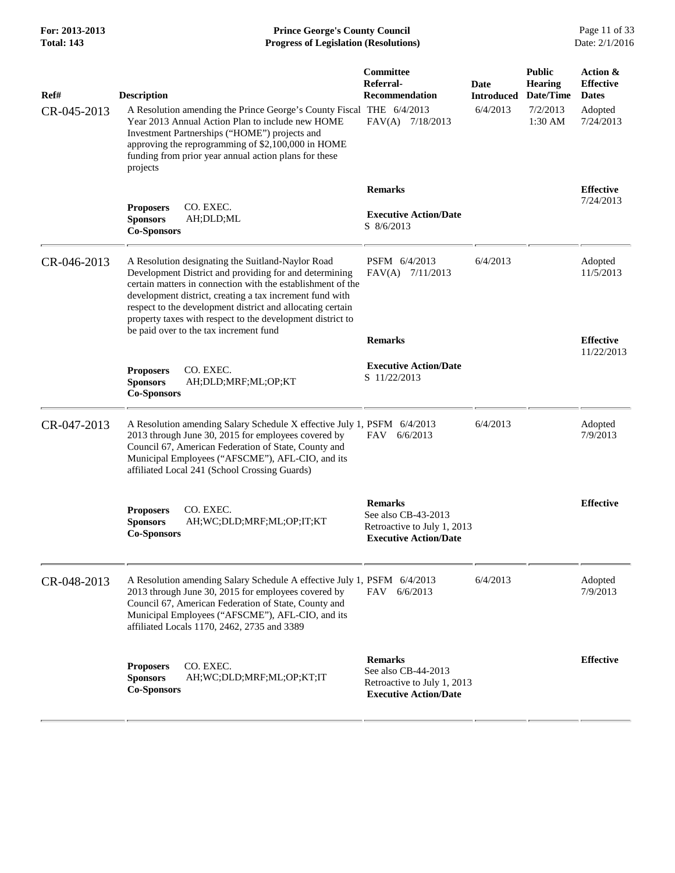**For: 2013-2013 Prince George's County Council** Page 11 of 33<br>**Progress of Legislation (Resolutions)** Date: 2/1/2016 **Progress of Legislation (Resolutions) Progress of Legislation (Resolutions)** 

| Ref#<br>CR-045-2013 | <b>Description</b><br>A Resolution amending the Prince George's County Fiscal THE 6/4/2013<br>Year 2013 Annual Action Plan to include new HOME<br>Investment Partnerships ("HOME") projects and<br>approving the reprogramming of \$2,100,000 in HOME<br>funding from prior year annual action plans for these<br>projects                                         | Committee<br>Referral-<br><b>Recommendation</b><br>FAV(A) 7/18/2013                                  | <b>Date</b><br><b>Introduced</b><br>6/4/2013 | <b>Public</b><br><b>Hearing</b><br>Date/Time<br>7/2/2013<br>1:30 AM | Action &<br><b>Effective</b><br><b>Dates</b><br>Adopted<br>7/24/2013 |
|---------------------|--------------------------------------------------------------------------------------------------------------------------------------------------------------------------------------------------------------------------------------------------------------------------------------------------------------------------------------------------------------------|------------------------------------------------------------------------------------------------------|----------------------------------------------|---------------------------------------------------------------------|----------------------------------------------------------------------|
|                     |                                                                                                                                                                                                                                                                                                                                                                    | <b>Remarks</b>                                                                                       |                                              |                                                                     | <b>Effective</b>                                                     |
|                     | CO. EXEC.<br><b>Proposers</b><br><b>Sponsors</b><br>AH;DLD;ML<br><b>Co-Sponsors</b>                                                                                                                                                                                                                                                                                | <b>Executive Action/Date</b><br>S 8/6/2013                                                           |                                              |                                                                     | 7/24/2013                                                            |
| CR-046-2013         | A Resolution designating the Suitland-Naylor Road<br>Development District and providing for and determining<br>certain matters in connection with the establishment of the<br>development district, creating a tax increment fund with<br>respect to the development district and allocating certain<br>property taxes with respect to the development district to | PSFM 6/4/2013<br>FAV(A) 7/11/2013                                                                    | 6/4/2013                                     |                                                                     | Adopted<br>11/5/2013                                                 |
|                     | be paid over to the tax increment fund                                                                                                                                                                                                                                                                                                                             | <b>Remarks</b>                                                                                       |                                              |                                                                     | <b>Effective</b><br>11/22/2013                                       |
|                     | CO. EXEC.<br><b>Proposers</b><br><b>Sponsors</b><br>AH;DLD;MRF;ML;OP;KT<br><b>Co-Sponsors</b>                                                                                                                                                                                                                                                                      | <b>Executive Action/Date</b><br>S 11/22/2013                                                         |                                              |                                                                     |                                                                      |
| CR-047-2013         | A Resolution amending Salary Schedule X effective July 1, PSFM 6/4/2013<br>2013 through June 30, 2015 for employees covered by<br>Council 67, American Federation of State, County and<br>Municipal Employees ("AFSCME"), AFL-CIO, and its<br>affiliated Local 241 (School Crossing Guards)                                                                        | FAV<br>6/6/2013                                                                                      | 6/4/2013                                     |                                                                     | Adopted<br>7/9/2013                                                  |
|                     | <b>Proposers</b><br>CO. EXEC.<br><b>Sponsors</b><br>AH;WC;DLD;MRF;ML;OP;IT;KT<br><b>Co-Sponsors</b>                                                                                                                                                                                                                                                                | <b>Remarks</b><br>See also CB-43-2013<br>Retroactive to July 1, 2013<br><b>Executive Action/Date</b> |                                              |                                                                     | <b>Effective</b>                                                     |
| CR-048-2013         | A Resolution amending Salary Schedule A effective July 1, PSFM 6/4/2013<br>2013 through June 30, 2015 for employees covered by<br>Council 67, American Federation of State, County and<br>Municipal Employees ("AFSCME"), AFL-CIO, and its<br>affiliated Locals 1170, 2462, 2735 and 3389                                                                          | FAV<br>6/6/2013                                                                                      | 6/4/2013                                     |                                                                     | Adopted<br>7/9/2013                                                  |
|                     | <b>Proposers</b><br>CO. EXEC.<br><b>Sponsors</b><br>AH; WC; DLD; MRF; ML; OP; KT; IT<br><b>Co-Sponsors</b>                                                                                                                                                                                                                                                         | <b>Remarks</b><br>See also CB-44-2013<br>Retroactive to July 1, 2013<br><b>Executive Action/Date</b> |                                              |                                                                     | <b>Effective</b>                                                     |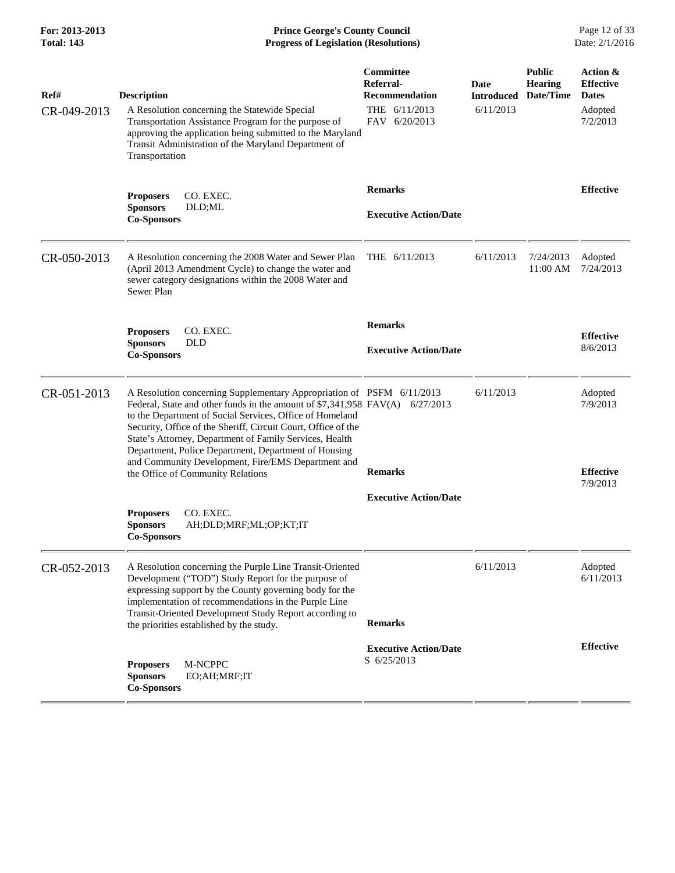**For: 2013-2013 Prince George's County Council** Page 12 of 33<br>**Prince George's County Council** Page 12 of 33<br>**Progress of Legislation (Resolutions)** Date: 2/1/2016 **Total: 143 Progress of Legislation (Resolutions)** 

| Ref#<br>CR-049-2013 | <b>Description</b><br>A Resolution concerning the Statewide Special<br>Transportation Assistance Program for the purpose of<br>approving the application being submitted to the Maryland<br>Transit Administration of the Maryland Department of<br>Transportation                                                                                                                                                                                                                     | Committee<br>Referral-<br><b>Recommendation</b><br>THE 6/11/2013<br>FAV 6/20/2013 | Date<br><b>Introduced</b><br>6/11/2013 | <b>Public</b><br><b>Hearing</b><br>Date/Time | Action &<br><b>Effective</b><br><b>Dates</b><br>Adopted<br>7/2/2013 |
|---------------------|----------------------------------------------------------------------------------------------------------------------------------------------------------------------------------------------------------------------------------------------------------------------------------------------------------------------------------------------------------------------------------------------------------------------------------------------------------------------------------------|-----------------------------------------------------------------------------------|----------------------------------------|----------------------------------------------|---------------------------------------------------------------------|
|                     | <b>Proposers</b><br>CO. EXEC.<br><b>Sponsors</b><br>DLD;ML<br><b>Co-Sponsors</b>                                                                                                                                                                                                                                                                                                                                                                                                       | <b>Remarks</b><br><b>Executive Action/Date</b>                                    |                                        |                                              | <b>Effective</b>                                                    |
| CR-050-2013         | A Resolution concerning the 2008 Water and Sewer Plan<br>(April 2013 Amendment Cycle) to change the water and<br>sewer category designations within the 2008 Water and<br>Sewer Plan                                                                                                                                                                                                                                                                                                   | THE 6/11/2013                                                                     | 6/11/2013                              | 7/24/2013<br>11:00 AM                        | Adopted<br>7/24/2013                                                |
|                     | CO. EXEC.<br><b>Proposers</b><br><b>Sponsors</b><br><b>DLD</b><br><b>Co-Sponsors</b>                                                                                                                                                                                                                                                                                                                                                                                                   | <b>Remarks</b><br><b>Executive Action/Date</b>                                    |                                        |                                              | <b>Effective</b><br>8/6/2013                                        |
| CR-051-2013         | A Resolution concerning Supplementary Appropriation of PSFM 6/11/2013<br>Federal, State and other funds in the amount of \$7,341,958 FAV(A)<br>to the Department of Social Services, Office of Homeland<br>Security, Office of the Sheriff, Circuit Court, Office of the<br>State's Attorney, Department of Family Services, Health<br>Department, Police Department, Department of Housing<br>and Community Development, Fire/EMS Department and<br>the Office of Community Relations | 6/27/2013<br><b>Remarks</b>                                                       | 6/11/2013                              |                                              | Adopted<br>7/9/2013<br><b>Effective</b><br>7/9/2013                 |
|                     | <b>Proposers</b><br>CO. EXEC.<br><b>Sponsors</b><br>AH;DLD;MRF;ML;OP;KT;IT<br><b>Co-Sponsors</b>                                                                                                                                                                                                                                                                                                                                                                                       | <b>Executive Action/Date</b>                                                      |                                        |                                              |                                                                     |
| CR-052-2013         | A Resolution concerning the Purple Line Transit-Oriented<br>Development ("TOD") Study Report for the purpose of<br>expressing support by the County governing body for the<br>implementation of recommendations in the Purple Line<br>Transit-Oriented Development Study Report according to<br>the priorities established by the study.                                                                                                                                               | <b>Remarks</b>                                                                    | 6/11/2013                              |                                              | Adopted<br>6/11/2013                                                |
|                     | M-NCPPC<br><b>Proposers</b><br><b>Sponsors</b><br>EO;AH;MRF;IT<br><b>Co-Sponsors</b>                                                                                                                                                                                                                                                                                                                                                                                                   | <b>Executive Action/Date</b><br>S 6/25/2013                                       |                                        |                                              | <b>Effective</b>                                                    |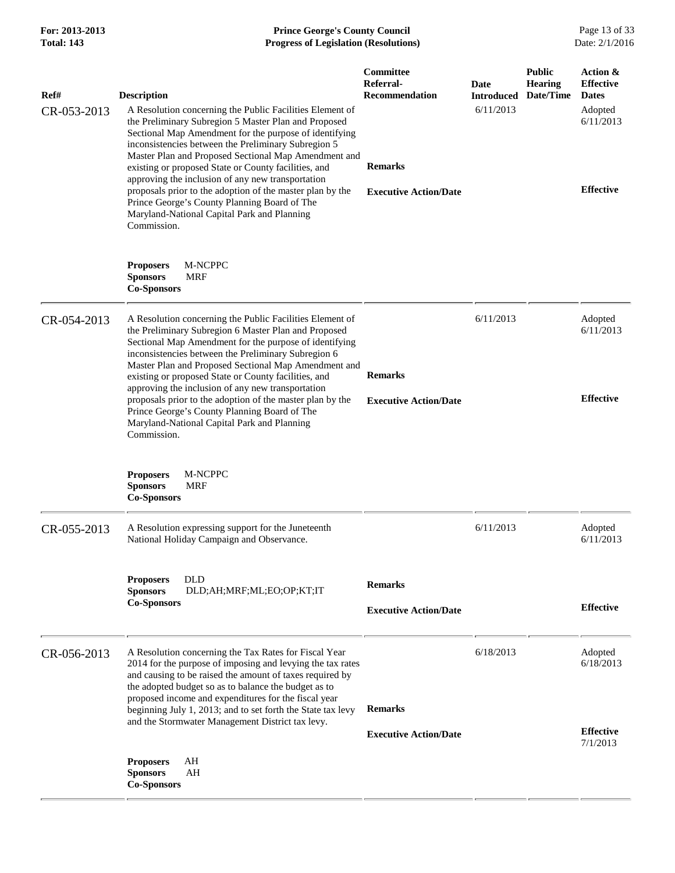| Ref#        | <b>Description</b>                                                                                                                                                                                                                                                                                                                                                                                                                                                                                                                                                                | Committee<br>Referral-<br>Recommendation       | Date<br><b>Introduced</b> | <b>Public</b><br><b>Hearing</b><br>Date/Time | Action &<br><b>Effective</b><br><b>Dates</b> |
|-------------|-----------------------------------------------------------------------------------------------------------------------------------------------------------------------------------------------------------------------------------------------------------------------------------------------------------------------------------------------------------------------------------------------------------------------------------------------------------------------------------------------------------------------------------------------------------------------------------|------------------------------------------------|---------------------------|----------------------------------------------|----------------------------------------------|
| CR-053-2013 | A Resolution concerning the Public Facilities Element of<br>the Preliminary Subregion 5 Master Plan and Proposed<br>Sectional Map Amendment for the purpose of identifying<br>inconsistencies between the Preliminary Subregion 5<br>Master Plan and Proposed Sectional Map Amendment and<br>existing or proposed State or County facilities, and<br>approving the inclusion of any new transportation<br>proposals prior to the adoption of the master plan by the<br>Prince George's County Planning Board of The<br>Maryland-National Capital Park and Planning<br>Commission. | <b>Remarks</b><br><b>Executive Action/Date</b> | 6/11/2013                 |                                              | Adopted<br>6/11/2013<br><b>Effective</b>     |
|             | <b>Proposers</b><br>M-NCPPC<br><b>Sponsors</b><br><b>MRF</b><br><b>Co-Sponsors</b>                                                                                                                                                                                                                                                                                                                                                                                                                                                                                                |                                                |                           |                                              |                                              |
| CR-054-2013 | A Resolution concerning the Public Facilities Element of<br>the Preliminary Subregion 6 Master Plan and Proposed<br>Sectional Map Amendment for the purpose of identifying<br>inconsistencies between the Preliminary Subregion 6<br>Master Plan and Proposed Sectional Map Amendment and<br>existing or proposed State or County facilities, and<br>approving the inclusion of any new transportation<br>proposals prior to the adoption of the master plan by the<br>Prince George's County Planning Board of The<br>Maryland-National Capital Park and Planning<br>Commission. | <b>Remarks</b><br><b>Executive Action/Date</b> | 6/11/2013                 |                                              | Adopted<br>6/11/2013<br><b>Effective</b>     |
|             | <b>Proposers</b><br>M-NCPPC<br><b>MRF</b><br><b>Sponsors</b><br><b>Co-Sponsors</b>                                                                                                                                                                                                                                                                                                                                                                                                                                                                                                |                                                |                           |                                              |                                              |
| CR-055-2013 | A Resolution expressing support for the Juneteenth<br>National Holiday Campaign and Observance.                                                                                                                                                                                                                                                                                                                                                                                                                                                                                   |                                                | 6/11/2013                 |                                              | Adopted<br>6/11/2013                         |
|             | <b>Proposers</b><br><b>DLD</b><br><b>Sponsors</b><br>DLD;AH;MRF;ML;EO;OP;KT;IT<br><b>Co-Sponsors</b>                                                                                                                                                                                                                                                                                                                                                                                                                                                                              | <b>Remarks</b><br><b>Executive Action/Date</b> |                           |                                              | <b>Effective</b>                             |
| CR-056-2013 | A Resolution concerning the Tax Rates for Fiscal Year<br>2014 for the purpose of imposing and levying the tax rates<br>and causing to be raised the amount of taxes required by<br>the adopted budget so as to balance the budget as to<br>proposed income and expenditures for the fiscal year<br>beginning July 1, 2013; and to set forth the State tax levy<br>and the Stormwater Management District tax levy.                                                                                                                                                                | <b>Remarks</b>                                 | 6/18/2013                 |                                              | Adopted<br>6/18/2013<br><b>Effective</b>     |
|             | <b>Proposers</b><br>AH<br><b>Sponsors</b><br>AH<br><b>Co-Sponsors</b>                                                                                                                                                                                                                                                                                                                                                                                                                                                                                                             | <b>Executive Action/Date</b>                   |                           |                                              | 7/1/2013                                     |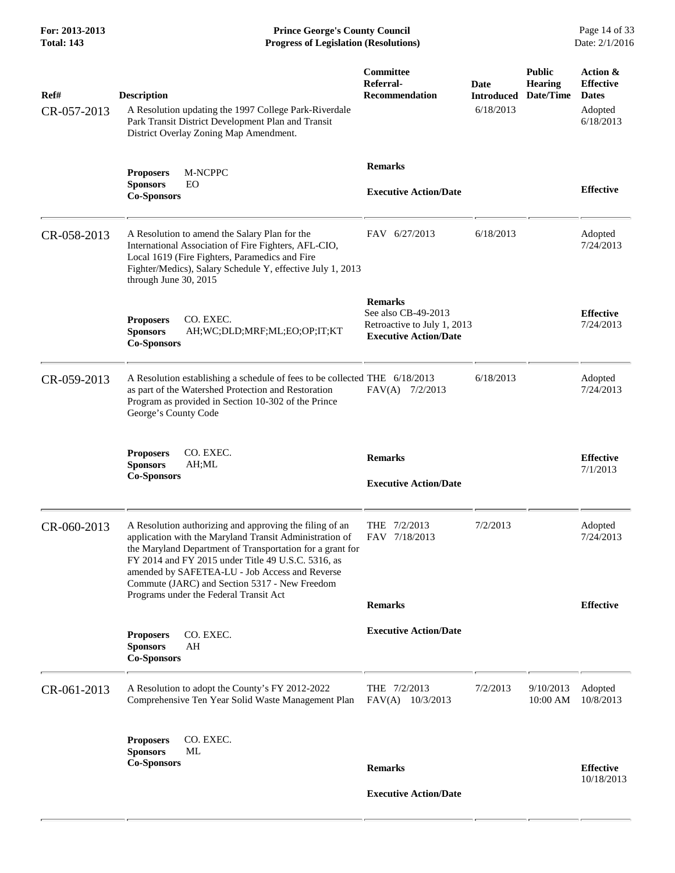**For: 2013-2013 Prince George's County Council** Page 14 of 33<br>**Prince George's County Council** Page 14 of 33<br>**Progress of Legislation (Resolutions)** Date: 2/1/2016 **Total: 143 Progress of Legislation (Resolutions)** 

| Ref#<br>CR-057-2013 | <b>Description</b><br>A Resolution updating the 1997 College Park-Riverdale<br>Park Transit District Development Plan and Transit<br>District Overlay Zoning Map Amendment.                                                                                                                                                                                                        | <b>Committee</b><br>Referral-<br>Recommendation                                                      | Date<br><b>Introduced</b><br>6/18/2013 | <b>Public</b><br><b>Hearing</b><br>Date/Time | Action &<br><b>Effective</b><br><b>Dates</b><br>Adopted<br>6/18/2013 |
|---------------------|------------------------------------------------------------------------------------------------------------------------------------------------------------------------------------------------------------------------------------------------------------------------------------------------------------------------------------------------------------------------------------|------------------------------------------------------------------------------------------------------|----------------------------------------|----------------------------------------------|----------------------------------------------------------------------|
|                     | <b>Proposers</b><br>M-NCPPC<br><b>Sponsors</b><br>EO<br><b>Co-Sponsors</b>                                                                                                                                                                                                                                                                                                         | <b>Remarks</b><br><b>Executive Action/Date</b>                                                       |                                        |                                              | <b>Effective</b>                                                     |
| CR-058-2013         | A Resolution to amend the Salary Plan for the<br>International Association of Fire Fighters, AFL-CIO,<br>Local 1619 (Fire Fighters, Paramedics and Fire<br>Fighter/Medics), Salary Schedule Y, effective July 1, 2013<br>through June 30, 2015                                                                                                                                     | FAV 6/27/2013                                                                                        | 6/18/2013                              |                                              | Adopted<br>7/24/2013                                                 |
|                     | CO. EXEC.<br><b>Proposers</b><br><b>Sponsors</b><br>AH;WC;DLD;MRF;ML;EO;OP;IT;KT<br><b>Co-Sponsors</b>                                                                                                                                                                                                                                                                             | <b>Remarks</b><br>See also CB-49-2013<br>Retroactive to July 1, 2013<br><b>Executive Action/Date</b> |                                        |                                              | <b>Effective</b><br>7/24/2013                                        |
| CR-059-2013         | A Resolution establishing a schedule of fees to be collected THE 6/18/2013<br>as part of the Watershed Protection and Restoration<br>Program as provided in Section 10-302 of the Prince<br>George's County Code                                                                                                                                                                   | FAV(A) 7/2/2013                                                                                      | 6/18/2013                              |                                              | Adopted<br>7/24/2013                                                 |
|                     | CO. EXEC.<br><b>Proposers</b><br><b>Sponsors</b><br>AH;ML<br><b>Co-Sponsors</b>                                                                                                                                                                                                                                                                                                    | <b>Remarks</b><br><b>Executive Action/Date</b>                                                       |                                        |                                              | <b>Effective</b><br>7/1/2013                                         |
| CR-060-2013         | A Resolution authorizing and approving the filing of an<br>application with the Maryland Transit Administration of<br>the Maryland Department of Transportation for a grant for<br>FY 2014 and FY 2015 under Title 49 U.S.C. 5316, as<br>amended by SAFETEA-LU - Job Access and Reverse<br>Commute (JARC) and Section 5317 - New Freedom<br>Programs under the Federal Transit Act | THE 7/2/2013<br>FAV 7/18/2013                                                                        | 7/2/2013                               |                                              | Adopted<br>7/24/2013                                                 |
|                     |                                                                                                                                                                                                                                                                                                                                                                                    | <b>Remarks</b>                                                                                       |                                        |                                              | <b>Effective</b>                                                     |
|                     | CO. EXEC.<br><b>Proposers</b><br><b>Sponsors</b><br>AH<br><b>Co-Sponsors</b>                                                                                                                                                                                                                                                                                                       | <b>Executive Action/Date</b>                                                                         |                                        |                                              |                                                                      |
| CR-061-2013         | A Resolution to adopt the County's FY 2012-2022<br>Comprehensive Ten Year Solid Waste Management Plan                                                                                                                                                                                                                                                                              | THE $7/2/2013$<br>$FAV(A)$ 10/3/2013                                                                 | 7/2/2013                               | 9/10/2013<br>10:00 AM                        | Adopted<br>10/8/2013                                                 |
|                     | CO. EXEC.<br><b>Proposers</b>                                                                                                                                                                                                                                                                                                                                                      |                                                                                                      |                                        |                                              |                                                                      |
|                     | <b>Sponsors</b><br>ML<br><b>Co-Sponsors</b>                                                                                                                                                                                                                                                                                                                                        | <b>Remarks</b>                                                                                       |                                        |                                              | <b>Effective</b>                                                     |
|                     |                                                                                                                                                                                                                                                                                                                                                                                    | <b>Executive Action/Date</b>                                                                         |                                        |                                              | 10/18/2013                                                           |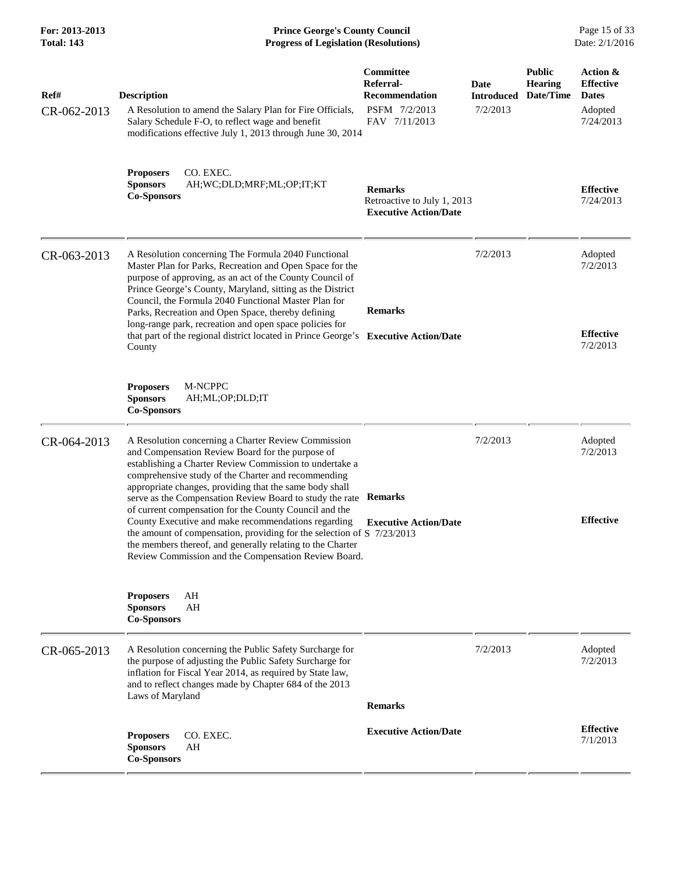**For: 2013-2013 Prince George's County Council** Page 15 of 33<br>**Prince George's County Council** Page 15 of 33<br>Date: 2/1/2016 **Total: 143 Progress of Legislation (Resolutions)** 

| Ref#<br>CR-062-2013 | <b>Description</b><br>A Resolution to amend the Salary Plan for Fire Officials,<br>Salary Schedule F-O, to reflect wage and benefit<br>modifications effective July 1, 2013 through June 30, 2014                                                                                                                                                                                                                                                                                                                                                                                                                                                                   | Committee<br>Referral-<br><b>Recommendation</b><br>PSFM 7/2/2013<br>FAV 7/11/2013 | Date<br>Introduced<br>7/2/2013 | <b>Public</b><br><b>Hearing</b><br>Date/Time | Action &<br><b>Effective</b><br><b>Dates</b><br>Adopted<br>7/24/2013 |
|---------------------|---------------------------------------------------------------------------------------------------------------------------------------------------------------------------------------------------------------------------------------------------------------------------------------------------------------------------------------------------------------------------------------------------------------------------------------------------------------------------------------------------------------------------------------------------------------------------------------------------------------------------------------------------------------------|-----------------------------------------------------------------------------------|--------------------------------|----------------------------------------------|----------------------------------------------------------------------|
|                     | <b>Proposers</b><br>CO. EXEC.<br><b>Sponsors</b><br>AH;WC;DLD;MRF;ML;OP;IT;KT<br><b>Co-Sponsors</b>                                                                                                                                                                                                                                                                                                                                                                                                                                                                                                                                                                 | <b>Remarks</b><br>Retroactive to July 1, 2013<br><b>Executive Action/Date</b>     |                                |                                              | <b>Effective</b><br>7/24/2013                                        |
| CR-063-2013         | A Resolution concerning The Formula 2040 Functional<br>Master Plan for Parks, Recreation and Open Space for the<br>purpose of approving, as an act of the County Council of<br>Prince George's County, Maryland, sitting as the District<br>Council, the Formula 2040 Functional Master Plan for<br>Parks, Recreation and Open Space, thereby defining<br>long-range park, recreation and open space policies for<br>that part of the regional district located in Prince George's<br>County                                                                                                                                                                        | <b>Remarks</b><br><b>Executive Action/Date</b>                                    | 7/2/2013                       |                                              | Adopted<br>7/2/2013<br><b>Effective</b><br>7/2/2013                  |
|                     | M-NCPPC<br><b>Proposers</b><br><b>Sponsors</b><br>AH;ML;OP;DLD;IT<br><b>Co-Sponsors</b>                                                                                                                                                                                                                                                                                                                                                                                                                                                                                                                                                                             |                                                                                   |                                |                                              |                                                                      |
| CR-064-2013         | A Resolution concerning a Charter Review Commission<br>and Compensation Review Board for the purpose of<br>establishing a Charter Review Commission to undertake a<br>comprehensive study of the Charter and recommending<br>appropriate changes, providing that the same body shall<br>serve as the Compensation Review Board to study the rate<br>of current compensation for the County Council and the<br>County Executive and make recommendations regarding<br>the amount of compensation, providing for the selection of $S$ 7/23/2013<br>the members thereof, and generally relating to the Charter<br>Review Commission and the Compensation Review Board. | <b>Remarks</b><br><b>Executive Action/Date</b>                                    | 7/2/2013                       |                                              | Adopted<br>7/2/2013<br><b>Effective</b>                              |
|                     | AH<br><b>Proposers</b><br><b>Sponsors</b><br>AH<br><b>Co-Sponsors</b>                                                                                                                                                                                                                                                                                                                                                                                                                                                                                                                                                                                               |                                                                                   |                                |                                              |                                                                      |
| CR-065-2013         | A Resolution concerning the Public Safety Surcharge for<br>the purpose of adjusting the Public Safety Surcharge for<br>inflation for Fiscal Year 2014, as required by State law,<br>and to reflect changes made by Chapter 684 of the 2013<br>Laws of Maryland                                                                                                                                                                                                                                                                                                                                                                                                      | <b>Remarks</b>                                                                    | 7/2/2013                       |                                              | Adopted<br>7/2/2013                                                  |
|                     | CO. EXEC.<br><b>Proposers</b><br>AH<br><b>Sponsors</b><br><b>Co-Sponsors</b>                                                                                                                                                                                                                                                                                                                                                                                                                                                                                                                                                                                        | <b>Executive Action/Date</b>                                                      |                                |                                              | <b>Effective</b><br>7/1/2013                                         |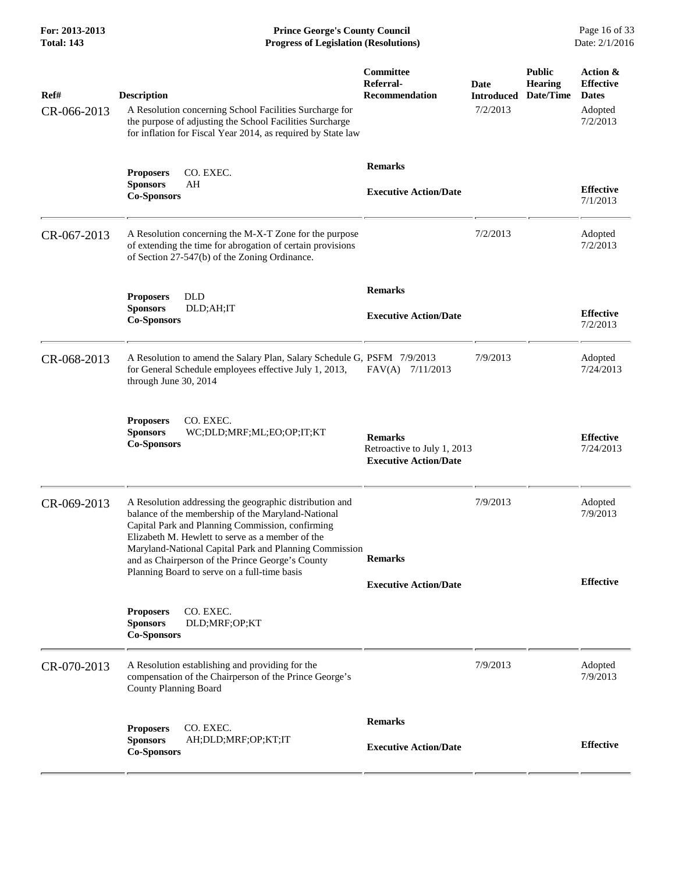| Ref#<br>CR-066-2013 | <b>Description</b><br>A Resolution concerning School Facilities Surcharge for<br>the purpose of adjusting the School Facilities Surcharge<br>for inflation for Fiscal Year 2014, as required by State law                                                                                                                                                                           | <b>Committee</b><br>Referral-<br><b>Recommendation</b>                        | Date<br><b>Introduced</b><br>7/2/2013 | <b>Public</b><br><b>Hearing</b><br>Date/Time | Action &<br><b>Effective</b><br><b>Dates</b><br>Adopted<br>7/2/2013 |
|---------------------|-------------------------------------------------------------------------------------------------------------------------------------------------------------------------------------------------------------------------------------------------------------------------------------------------------------------------------------------------------------------------------------|-------------------------------------------------------------------------------|---------------------------------------|----------------------------------------------|---------------------------------------------------------------------|
|                     | CO. EXEC.<br><b>Proposers</b><br>AH<br><b>Sponsors</b><br><b>Co-Sponsors</b>                                                                                                                                                                                                                                                                                                        | <b>Remarks</b><br><b>Executive Action/Date</b>                                |                                       |                                              | <b>Effective</b><br>7/1/2013                                        |
| CR-067-2013         | A Resolution concerning the M-X-T Zone for the purpose<br>of extending the time for abrogation of certain provisions<br>of Section 27-547(b) of the Zoning Ordinance.                                                                                                                                                                                                               |                                                                               | 7/2/2013                              |                                              | Adopted<br>7/2/2013                                                 |
|                     | <b>DLD</b><br><b>Proposers</b><br><b>Sponsors</b><br>DLD;AH;IT<br><b>Co-Sponsors</b>                                                                                                                                                                                                                                                                                                | <b>Remarks</b><br><b>Executive Action/Date</b>                                |                                       |                                              | <b>Effective</b><br>7/2/2013                                        |
| CR-068-2013         | A Resolution to amend the Salary Plan, Salary Schedule G, PSFM 7/9/2013<br>for General Schedule employees effective July 1, 2013,<br>through June 30, 2014                                                                                                                                                                                                                          | FAV(A) 7/11/2013                                                              | 7/9/2013                              |                                              | Adopted<br>7/24/2013                                                |
|                     | CO. EXEC.<br><b>Proposers</b><br><b>Sponsors</b><br>WC;DLD;MRF;ML;EO;OP;IT;KT<br><b>Co-Sponsors</b>                                                                                                                                                                                                                                                                                 | <b>Remarks</b><br>Retroactive to July 1, 2013<br><b>Executive Action/Date</b> |                                       |                                              | <b>Effective</b><br>7/24/2013                                       |
| CR-069-2013         | A Resolution addressing the geographic distribution and<br>balance of the membership of the Maryland-National<br>Capital Park and Planning Commission, confirming<br>Elizabeth M. Hewlett to serve as a member of the<br>Maryland-National Capital Park and Planning Commission<br>and as Chairperson of the Prince George's County<br>Planning Board to serve on a full-time basis | <b>Remarks</b><br><b>Executive Action/Date</b>                                | 7/9/2013                              |                                              | Adopted<br>7/9/2013<br><b>Effective</b>                             |
|                     | CO. EXEC.<br><b>Proposers</b><br><b>Sponsors</b><br>DLD;MRF;OP;KT<br><b>Co-Sponsors</b>                                                                                                                                                                                                                                                                                             |                                                                               |                                       |                                              |                                                                     |
| CR-070-2013         | A Resolution establishing and providing for the<br>compensation of the Chairperson of the Prince George's<br><b>County Planning Board</b>                                                                                                                                                                                                                                           |                                                                               | 7/9/2013                              |                                              | Adopted<br>7/9/2013                                                 |
|                     | <b>Proposers</b><br>CO. EXEC.<br><b>Sponsors</b><br>AH;DLD;MRF;OP;KT;IT<br><b>Co-Sponsors</b>                                                                                                                                                                                                                                                                                       | <b>Remarks</b><br><b>Executive Action/Date</b>                                |                                       |                                              | <b>Effective</b>                                                    |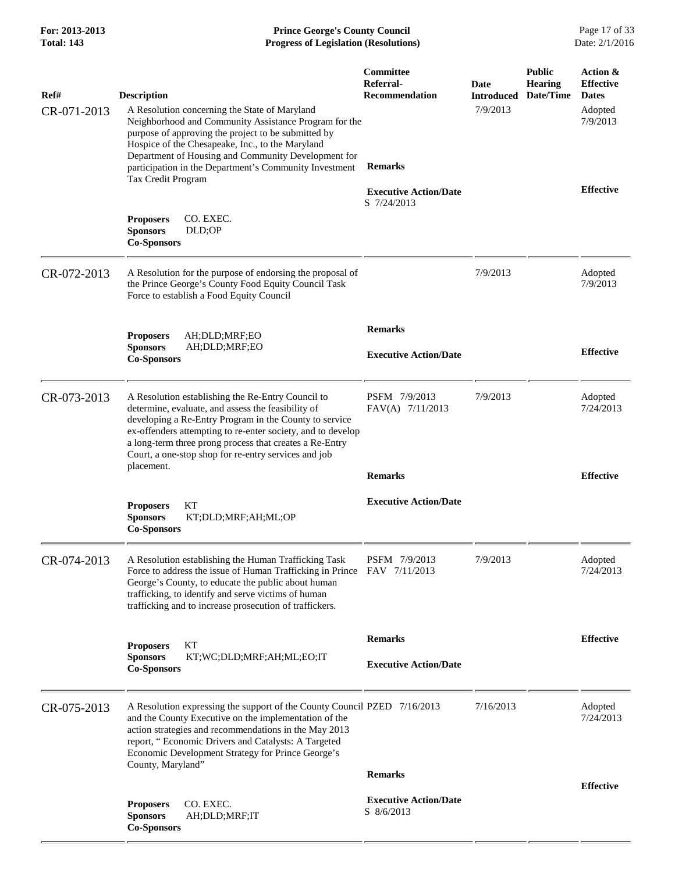| For: 2013-2013<br><b>Total: 143</b> | <b>Prince George's County Council</b><br><b>Progress of Legislation (Resolutions)</b>                                                                                                                                                                                                                                                                                          |                                                                                                                         |                                       |                                              |                                                                                         |
|-------------------------------------|--------------------------------------------------------------------------------------------------------------------------------------------------------------------------------------------------------------------------------------------------------------------------------------------------------------------------------------------------------------------------------|-------------------------------------------------------------------------------------------------------------------------|---------------------------------------|----------------------------------------------|-----------------------------------------------------------------------------------------|
| Ref#<br>CR-071-2013                 | <b>Description</b><br>A Resolution concerning the State of Maryland<br>Neighborhood and Community Assistance Program for the<br>purpose of approving the project to be submitted by<br>Hospice of the Chesapeake, Inc., to the Maryland<br>Department of Housing and Community Development for<br>participation in the Department's Community Investment<br>Tax Credit Program | <b>Committee</b><br>Referral-<br><b>Recommendation</b><br><b>Remarks</b><br><b>Executive Action/Date</b><br>S 7/24/2013 | Date<br><b>Introduced</b><br>7/9/2013 | <b>Public</b><br><b>Hearing</b><br>Date/Time | Action &<br><b>Effective</b><br><b>Dates</b><br>Adopted<br>7/9/2013<br><b>Effective</b> |
|                                     | <b>Proposers</b><br>CO. EXEC.<br>DLD;OP<br><b>Sponsors</b><br><b>Co-Sponsors</b>                                                                                                                                                                                                                                                                                               |                                                                                                                         |                                       |                                              |                                                                                         |
| CR-072-2013                         | A Resolution for the purpose of endorsing the proposal of<br>the Prince George's County Food Equity Council Task<br>Force to establish a Food Equity Council                                                                                                                                                                                                                   |                                                                                                                         | 7/9/2013                              |                                              | Adopted<br>7/9/2013                                                                     |
|                                     | <b>Proposers</b><br>AH;DLD;MRF;EO<br><b>Sponsors</b><br>AH;DLD;MRF;EO<br><b>Co-Sponsors</b>                                                                                                                                                                                                                                                                                    | <b>Remarks</b><br><b>Executive Action/Date</b>                                                                          |                                       |                                              | <b>Effective</b>                                                                        |
| CR-073-2013                         | A Resolution establishing the Re-Entry Council to<br>determine, evaluate, and assess the feasibility of<br>developing a Re-Entry Program in the County to service<br>ex-offenders attempting to re-enter society, and to develop<br>a long-term three prong process that creates a Re-Entry<br>Court, a one-stop shop for re-entry services and job<br>placement.              | PSFM 7/9/2013<br>FAV(A) 7/11/2013                                                                                       | 7/9/2013                              |                                              | Adopted<br>7/24/2013                                                                    |
|                                     | KТ<br><b>Proposers</b><br><b>Sponsors</b><br>KT;DLD;MRF;AH;ML;OP<br><b>Co-Sponsors</b>                                                                                                                                                                                                                                                                                         | <b>Remarks</b><br><b>Executive Action/Date</b>                                                                          |                                       |                                              | <b>Effective</b>                                                                        |
| CR-074-2013                         | A Resolution establishing the Human Trafficking Task<br>Force to address the issue of Human Trafficking in Prince<br>George's County, to educate the public about human<br>trafficking, to identify and serve victims of human<br>trafficking and to increase prosecution of traffickers.                                                                                      | PSFM 7/9/2013<br>FAV 7/11/2013                                                                                          | 7/9/2013                              |                                              | Adopted<br>7/24/2013                                                                    |
|                                     | KТ<br><b>Proposers</b><br><b>Sponsors</b><br>KT;WC;DLD;MRF;AH;ML;EO;IT<br><b>Co-Sponsors</b>                                                                                                                                                                                                                                                                                   | <b>Remarks</b><br><b>Executive Action/Date</b>                                                                          |                                       |                                              | <b>Effective</b>                                                                        |
| CR-075-2013                         | A Resolution expressing the support of the County Council PZED 7/16/2013<br>and the County Executive on the implementation of the<br>action strategies and recommendations in the May 2013<br>report, "Economic Drivers and Catalysts: A Targeted<br>Economic Development Strategy for Prince George's<br>County, Maryland"                                                    |                                                                                                                         | 7/16/2013                             |                                              | Adopted<br>7/24/2013                                                                    |
|                                     |                                                                                                                                                                                                                                                                                                                                                                                | <b>Remarks</b>                                                                                                          |                                       |                                              | <b>Effective</b>                                                                        |
|                                     | <b>Proposers</b><br>CO. EXEC.<br><b>Sponsors</b><br>AH;DLD;MRF;IT<br><b>Co-Sponsors</b>                                                                                                                                                                                                                                                                                        | <b>Executive Action/Date</b><br>S 8/6/2013                                                                              |                                       |                                              |                                                                                         |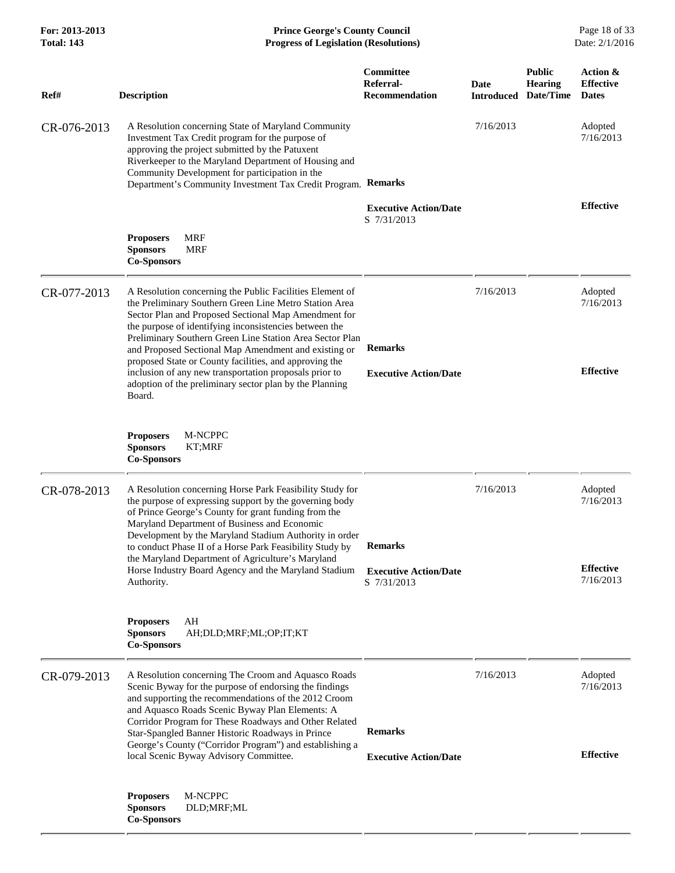| For: 2013-2013<br><b>Total: 143</b> | <b>Prince George's County Council</b><br><b>Progress of Legislation (Resolutions)</b><br>Date: 2/1/2016                                                                                                                                                                                                                                                                                                            |                                                        |           |                                                         |                                              |
|-------------------------------------|--------------------------------------------------------------------------------------------------------------------------------------------------------------------------------------------------------------------------------------------------------------------------------------------------------------------------------------------------------------------------------------------------------------------|--------------------------------------------------------|-----------|---------------------------------------------------------|----------------------------------------------|
| Ref#                                | <b>Description</b>                                                                                                                                                                                                                                                                                                                                                                                                 | <b>Committee</b><br>Referral-<br><b>Recommendation</b> | Date      | <b>Public</b><br>Hearing<br><b>Introduced Date/Time</b> | Action &<br><b>Effective</b><br><b>Dates</b> |
| CR-076-2013                         | A Resolution concerning State of Maryland Community<br>Investment Tax Credit program for the purpose of<br>approving the project submitted by the Patuxent<br>Riverkeeper to the Maryland Department of Housing and<br>Community Development for participation in the<br>Department's Community Investment Tax Credit Program. Remarks                                                                             |                                                        | 7/16/2013 |                                                         | Adopted<br>7/16/2013                         |
|                                     |                                                                                                                                                                                                                                                                                                                                                                                                                    | <b>Executive Action/Date</b><br>S 7/31/2013            |           |                                                         | <b>Effective</b>                             |
|                                     | MRF<br><b>Proposers</b><br><b>Sponsors</b><br><b>MRF</b><br><b>Co-Sponsors</b>                                                                                                                                                                                                                                                                                                                                     |                                                        |           |                                                         |                                              |
| CR-077-2013                         | A Resolution concerning the Public Facilities Element of<br>the Preliminary Southern Green Line Metro Station Area<br>Sector Plan and Proposed Sectional Map Amendment for<br>the purpose of identifying inconsistencies between the<br>Preliminary Southern Green Line Station Area Sector Plan<br>and Proposed Sectional Map Amendment and existing or<br>proposed State or County facilities, and approving the | <b>Remarks</b>                                         | 7/16/2013 |                                                         | Adopted<br>7/16/2013                         |
|                                     | inclusion of any new transportation proposals prior to<br>adoption of the preliminary sector plan by the Planning<br>Board.                                                                                                                                                                                                                                                                                        | <b>Executive Action/Date</b>                           |           |                                                         | <b>Effective</b>                             |
|                                     | M-NCPPC<br><b>Proposers</b><br><b>Sponsors</b><br>KT;MRF<br><b>Co-Sponsors</b>                                                                                                                                                                                                                                                                                                                                     |                                                        |           |                                                         |                                              |
| CR-078-2013                         | A Resolution concerning Horse Park Feasibility Study for<br>the purpose of expressing support by the governing body<br>of Prince George's County for grant funding from the<br>Maryland Department of Business and Economic<br>Development by the Maryland Stadium Authority in order<br>to conduct Phase II of a Horse Park Feasibility Study by                                                                  | <b>Remarks</b>                                         | 7/16/2013 |                                                         | Adopted<br>7/16/2013                         |
|                                     | the Maryland Department of Agriculture's Maryland<br>Horse Industry Board Agency and the Maryland Stadium<br>Authority.                                                                                                                                                                                                                                                                                            | <b>Executive Action/Date</b><br>S 7/31/2013            |           |                                                         | <b>Effective</b><br>7/16/2013                |
|                                     | AH<br><b>Proposers</b><br><b>Sponsors</b><br>AH;DLD;MRF;ML;OP;IT;KT<br><b>Co-Sponsors</b>                                                                                                                                                                                                                                                                                                                          |                                                        |           |                                                         |                                              |
| CR-079-2013                         | A Resolution concerning The Croom and Aquasco Roads<br>Scenic Byway for the purpose of endorsing the findings<br>and supporting the recommendations of the 2012 Croom<br>and Aquasco Roads Scenic Byway Plan Elements: A<br>Corridor Program for These Roadways and Other Related<br>Star-Spangled Banner Historic Roadways in Prince                                                                              | <b>Remarks</b>                                         | 7/16/2013 |                                                         | Adopted<br>7/16/2013                         |
|                                     | George's County ("Corridor Program") and establishing a<br>local Scenic Byway Advisory Committee.                                                                                                                                                                                                                                                                                                                  | <b>Executive Action/Date</b>                           |           |                                                         | <b>Effective</b>                             |
|                                     | M-NCPPC<br><b>Proposers</b><br><b>Sponsors</b><br>DLD;MRF;ML<br><b>Co-Sponsors</b>                                                                                                                                                                                                                                                                                                                                 |                                                        |           |                                                         |                                              |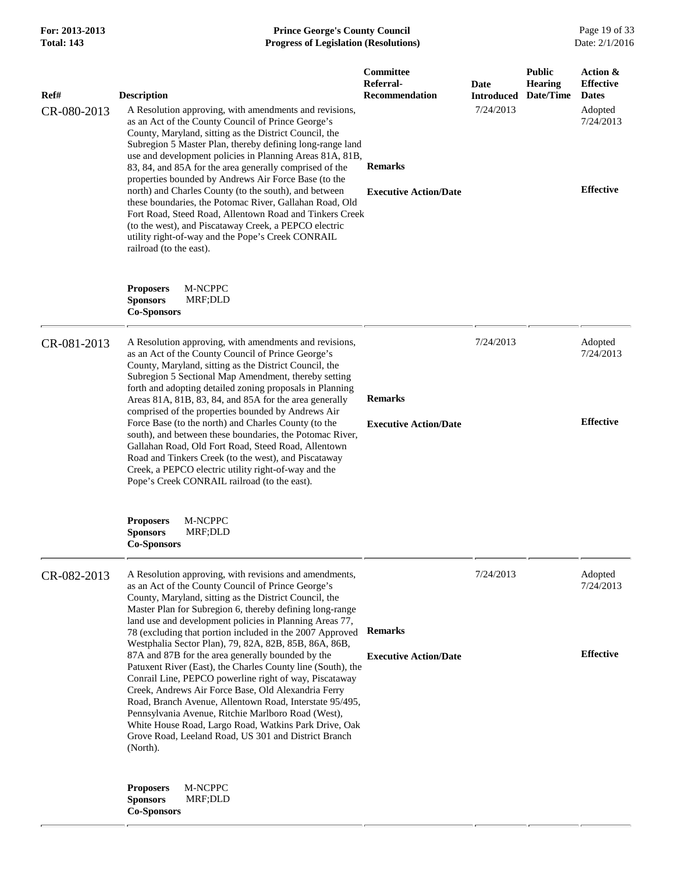## **For: 2013-2013 Prince George's County Council** Page 19 of 33<br>**Progress of Legislation (Resolutions)** Date: 2/1/2016 **Progress of Legislation (Resolutions)**

| Ref#        | <b>Description</b>                                                                                                                                                                                                                                                                                                                                                                                                                                                                                                                                                                                                                                                                                                                                                       | Committee<br>Referral-<br><b>Recommendation</b> | <b>Date</b><br><b>Introduced</b> | <b>Public</b><br><b>Hearing</b><br>Date/Time | Action &<br><b>Effective</b><br><b>Dates</b> |
|-------------|--------------------------------------------------------------------------------------------------------------------------------------------------------------------------------------------------------------------------------------------------------------------------------------------------------------------------------------------------------------------------------------------------------------------------------------------------------------------------------------------------------------------------------------------------------------------------------------------------------------------------------------------------------------------------------------------------------------------------------------------------------------------------|-------------------------------------------------|----------------------------------|----------------------------------------------|----------------------------------------------|
| CR-080-2013 | A Resolution approving, with amendments and revisions,<br>as an Act of the County Council of Prince George's<br>County, Maryland, sitting as the District Council, the<br>Subregion 5 Master Plan, thereby defining long-range land<br>use and development policies in Planning Areas 81A, 81B,<br>83, 84, and 85A for the area generally comprised of the<br>properties bounded by Andrews Air Force Base (to the<br>north) and Charles County (to the south), and between<br>these boundaries, the Potomac River, Gallahan Road, Old<br>Fort Road, Steed Road, Allentown Road and Tinkers Creek<br>(to the west), and Piscataway Creek, a PEPCO electric<br>utility right-of-way and the Pope's Creek CONRAIL<br>railroad (to the east).                               | <b>Remarks</b><br><b>Executive Action/Date</b>  | 7/24/2013                        |                                              | Adopted<br>7/24/2013<br><b>Effective</b>     |
|             | <b>Proposers</b><br>M-NCPPC<br><b>Sponsors</b><br>MRF;DLD<br><b>Co-Sponsors</b>                                                                                                                                                                                                                                                                                                                                                                                                                                                                                                                                                                                                                                                                                          |                                                 |                                  |                                              |                                              |
| CR-081-2013 | A Resolution approving, with amendments and revisions,<br>as an Act of the County Council of Prince George's<br>County, Maryland, sitting as the District Council, the<br>Subregion 5 Sectional Map Amendment, thereby setting<br>forth and adopting detailed zoning proposals in Planning<br>Areas 81A, 81B, 83, 84, and 85A for the area generally<br>comprised of the properties bounded by Andrews Air<br>Force Base (to the north) and Charles County (to the<br>south), and between these boundaries, the Potomac River,<br>Gallahan Road, Old Fort Road, Steed Road, Allentown<br>Road and Tinkers Creek (to the west), and Piscataway<br>Creek, a PEPCO electric utility right-of-way and the<br>Pope's Creek CONRAIL railroad (to the east).                    | <b>Remarks</b><br><b>Executive Action/Date</b>  | 7/24/2013                        |                                              | Adopted<br>7/24/2013<br><b>Effective</b>     |
|             | <b>Proposers</b><br><b>M-NCPPC</b><br><b>Sponsors</b><br>MRF;DLD<br><b>Co-Sponsors</b>                                                                                                                                                                                                                                                                                                                                                                                                                                                                                                                                                                                                                                                                                   |                                                 |                                  |                                              |                                              |
| CR-082-2013 | A Resolution approving, with revisions and amendments,<br>as an Act of the County Council of Prince George's<br>County, Maryland, sitting as the District Council, the<br>Master Plan for Subregion 6, thereby defining long-range<br>land use and development policies in Planning Areas 77,<br>78 (excluding that portion included in the 2007 Approved<br>Westphalia Sector Plan), 79, 82A, 82B, 85B, 86A, 86B,<br>87A and 87B for the area generally bounded by the<br>Patuxent River (East), the Charles County line (South), the<br>Conrail Line, PEPCO powerline right of way, Piscataway<br>Creek, Andrews Air Force Base, Old Alexandria Ferry<br>Road, Branch Avenue, Allentown Road, Interstate 95/495,<br>Pennsylvania Avenue, Ritchie Marlboro Road (West), | <b>Remarks</b><br><b>Executive Action/Date</b>  | 7/24/2013                        |                                              | Adopted<br>7/24/2013<br><b>Effective</b>     |
|             | White House Road, Largo Road, Watkins Park Drive, Oak<br>Grove Road, Leeland Road, US 301 and District Branch<br>(North).<br>M-NCPPC<br><b>Proposers</b><br>MRF;DLD<br><b>Sponsors</b><br><b>Co-Sponsors</b>                                                                                                                                                                                                                                                                                                                                                                                                                                                                                                                                                             |                                                 |                                  |                                              |                                              |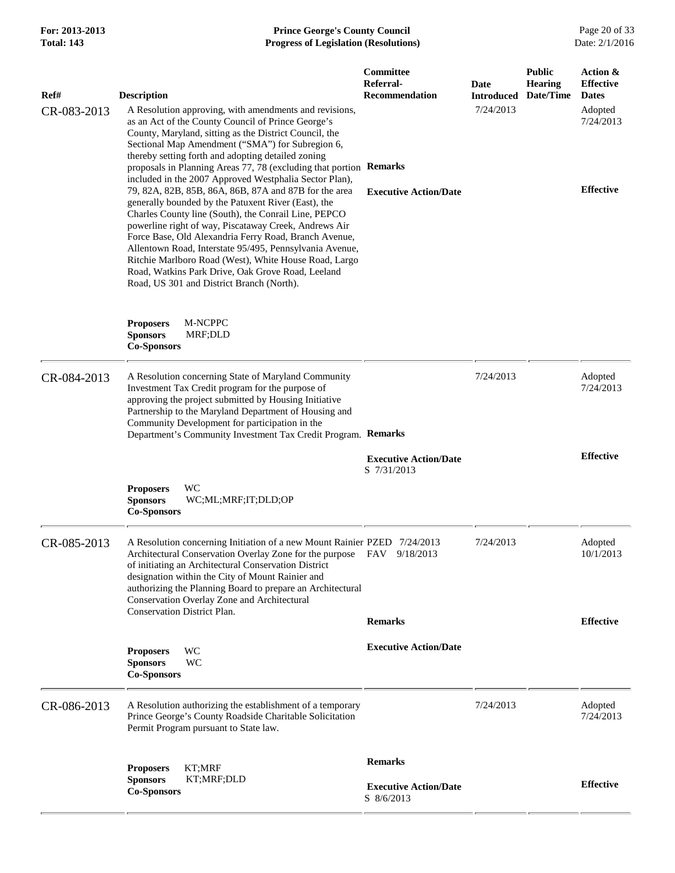## **For: 2013-2013 Prince George's County Council** Page 20 of 33<br>**Prince George's County Council** Page 20 of 33<br>Date: 2/1/2016 **Total: 143 Progress of Legislation (Resolutions)**

| Ref#        | <b>Description</b>                                                                                                                                                                                                                                                                                                                                                                                                                                                                                                                                                     | Committee<br>Referral-<br><b>Recommendation</b> | Date<br><b>Introduced</b> | <b>Public</b><br><b>Hearing</b><br>Date/Time | Action &<br><b>Effective</b><br><b>Dates</b> |
|-------------|------------------------------------------------------------------------------------------------------------------------------------------------------------------------------------------------------------------------------------------------------------------------------------------------------------------------------------------------------------------------------------------------------------------------------------------------------------------------------------------------------------------------------------------------------------------------|-------------------------------------------------|---------------------------|----------------------------------------------|----------------------------------------------|
| CR-083-2013 | A Resolution approving, with amendments and revisions,<br>as an Act of the County Council of Prince George's<br>County, Maryland, sitting as the District Council, the<br>Sectional Map Amendment ("SMA") for Subregion 6,<br>thereby setting forth and adopting detailed zoning<br>proposals in Planning Areas 77, 78 (excluding that portion Remarks                                                                                                                                                                                                                 |                                                 | 7/24/2013                 |                                              | Adopted<br>7/24/2013                         |
|             | included in the 2007 Approved Westphalia Sector Plan),<br>79, 82A, 82B, 85B, 86A, 86B, 87A and 87B for the area<br>generally bounded by the Patuxent River (East), the<br>Charles County line (South), the Conrail Line, PEPCO<br>powerline right of way, Piscataway Creek, Andrews Air<br>Force Base, Old Alexandria Ferry Road, Branch Avenue,<br>Allentown Road, Interstate 95/495, Pennsylvania Avenue,<br>Ritchie Marlboro Road (West), White House Road, Largo<br>Road, Watkins Park Drive, Oak Grove Road, Leeland<br>Road, US 301 and District Branch (North). | <b>Executive Action/Date</b>                    |                           |                                              | <b>Effective</b>                             |
|             | M-NCPPC<br><b>Proposers</b><br><b>Sponsors</b><br>MRF;DLD<br><b>Co-Sponsors</b>                                                                                                                                                                                                                                                                                                                                                                                                                                                                                        |                                                 |                           |                                              |                                              |
| CR-084-2013 | A Resolution concerning State of Maryland Community<br>Investment Tax Credit program for the purpose of<br>approving the project submitted by Housing Initiative<br>Partnership to the Maryland Department of Housing and<br>Community Development for participation in the<br>Department's Community Investment Tax Credit Program. Remarks                                                                                                                                                                                                                           |                                                 | 7/24/2013                 |                                              | Adopted<br>7/24/2013                         |
|             |                                                                                                                                                                                                                                                                                                                                                                                                                                                                                                                                                                        | <b>Executive Action/Date</b><br>S 7/31/2013     |                           |                                              | <b>Effective</b>                             |
|             | <b>WC</b><br><b>Proposers</b><br><b>Sponsors</b><br>WC;ML;MRF;IT;DLD;OP<br><b>Co-Sponsors</b>                                                                                                                                                                                                                                                                                                                                                                                                                                                                          |                                                 |                           |                                              |                                              |
| CR-085-2013 | A Resolution concerning Initiation of a new Mount Rainier PZED 7/24/2013<br>Architectural Conservation Overlay Zone for the purpose FAV 9/18/2013<br>of initiating an Architectural Conservation District<br>designation within the City of Mount Rainier and<br>authorizing the Planning Board to prepare an Architectural<br>Conservation Overlay Zone and Architectural<br><b>Conservation District Plan.</b>                                                                                                                                                       |                                                 | 7/24/2013                 |                                              | Adopted<br>10/1/2013                         |
|             |                                                                                                                                                                                                                                                                                                                                                                                                                                                                                                                                                                        | <b>Remarks</b>                                  |                           |                                              | <b>Effective</b>                             |
|             | WC<br><b>Proposers</b><br><b>Sponsors</b><br>WC<br><b>Co-Sponsors</b>                                                                                                                                                                                                                                                                                                                                                                                                                                                                                                  | <b>Executive Action/Date</b>                    |                           |                                              |                                              |
| CR-086-2013 | A Resolution authorizing the establishment of a temporary<br>Prince George's County Roadside Charitable Solicitation<br>Permit Program pursuant to State law.                                                                                                                                                                                                                                                                                                                                                                                                          |                                                 | 7/24/2013                 |                                              | Adopted<br>7/24/2013                         |
|             | KT;MRF<br><b>Proposers</b>                                                                                                                                                                                                                                                                                                                                                                                                                                                                                                                                             | <b>Remarks</b>                                  |                           |                                              |                                              |
|             | <b>Sponsors</b><br>KT;MRF;DLD<br><b>Co-Sponsors</b>                                                                                                                                                                                                                                                                                                                                                                                                                                                                                                                    | <b>Executive Action/Date</b><br>S 8/6/2013      |                           |                                              | <b>Effective</b>                             |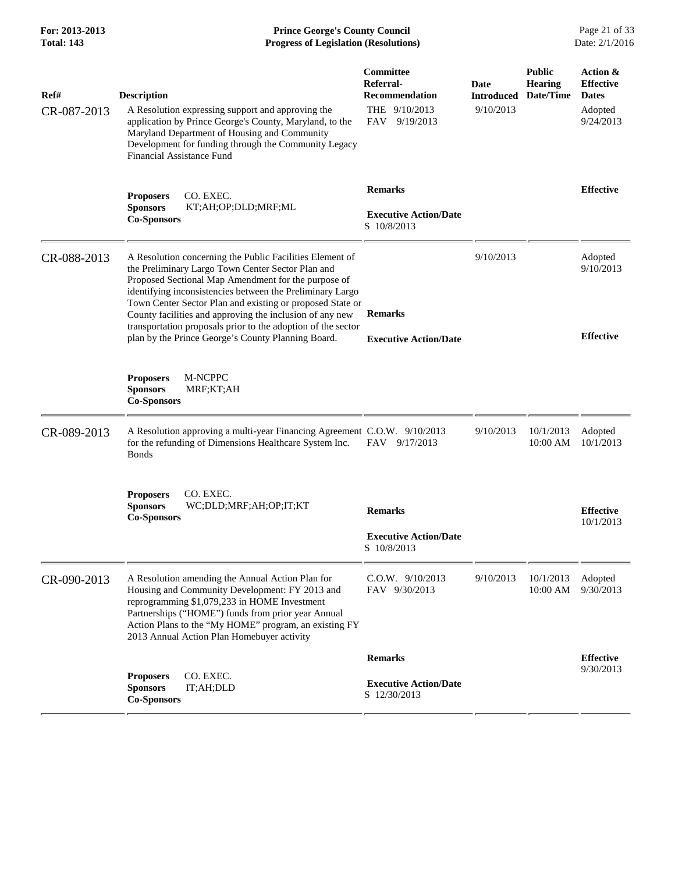**For: 2013-2013 Prince George's County Council** Page 21 of 33<br>**Progress of Legislation (Resolutions)** Date: 2/1/2016 **Progress of Legislation (Resolutions) Progress of Legislation (Resolutions)** 

| Ref#        | <b>Description</b>                                                                                                                                                                                                                                                                                              | Committee<br>Referral-<br><b>Recommendation</b> | Date<br><b>Introduced</b> | <b>Public</b><br><b>Hearing</b><br>Date/Time | Action &<br><b>Effective</b><br><b>Dates</b> |
|-------------|-----------------------------------------------------------------------------------------------------------------------------------------------------------------------------------------------------------------------------------------------------------------------------------------------------------------|-------------------------------------------------|---------------------------|----------------------------------------------|----------------------------------------------|
| CR-087-2013 | A Resolution expressing support and approving the<br>application by Prince George's County, Maryland, to the<br>Maryland Department of Housing and Community<br>Development for funding through the Community Legacy<br><b>Financial Assistance Fund</b>                                                        | THE 9/10/2013<br>FAV<br>9/19/2013               | 9/10/2013                 |                                              | Adopted<br>9/24/2013                         |
|             | CO. EXEC.<br><b>Proposers</b><br><b>Sponsors</b><br>KT;AH;OP;DLD;MRF;ML<br><b>Co-Sponsors</b>                                                                                                                                                                                                                   | <b>Remarks</b><br><b>Executive Action/Date</b>  |                           |                                              | <b>Effective</b>                             |
|             |                                                                                                                                                                                                                                                                                                                 | S 10/8/2013                                     |                           |                                              |                                              |
| CR-088-2013 | A Resolution concerning the Public Facilities Element of<br>the Preliminary Largo Town Center Sector Plan and<br>Proposed Sectional Map Amendment for the purpose of<br>identifying inconsistencies between the Preliminary Largo                                                                               |                                                 | 9/10/2013                 |                                              | Adopted<br>9/10/2013                         |
|             | Town Center Sector Plan and existing or proposed State or<br>County facilities and approving the inclusion of any new<br>transportation proposals prior to the adoption of the sector                                                                                                                           | <b>Remarks</b>                                  |                           |                                              | <b>Effective</b>                             |
|             | plan by the Prince George's County Planning Board.                                                                                                                                                                                                                                                              | <b>Executive Action/Date</b>                    |                           |                                              |                                              |
|             | <b>Proposers</b><br>M-NCPPC<br><b>Sponsors</b><br>MRF;KT;AH<br><b>Co-Sponsors</b>                                                                                                                                                                                                                               |                                                 |                           |                                              |                                              |
| CR-089-2013 | A Resolution approving a multi-year Financing Agreement C.O.W. 9/10/2013<br>for the refunding of Dimensions Healthcare System Inc.<br><b>Bonds</b>                                                                                                                                                              | FAV 9/17/2013                                   | 9/10/2013                 | 10/1/2013<br>10:00 AM                        | Adopted<br>10/1/2013                         |
|             | <b>Proposers</b><br>CO. EXEC.<br><b>Sponsors</b><br>WC;DLD;MRF;AH;OP;IT;KT<br><b>Co-Sponsors</b>                                                                                                                                                                                                                | <b>Remarks</b>                                  |                           |                                              | <b>Effective</b><br>10/1/2013                |
|             |                                                                                                                                                                                                                                                                                                                 | <b>Executive Action/Date</b><br>S 10/8/2013     |                           |                                              |                                              |
| CR-090-2013 | A Resolution amending the Annual Action Plan for<br>Housing and Community Development: FY 2013 and<br>reprogramming \$1,079,233 in HOME Investment<br>Partnerships ("HOME") funds from prior year Annual<br>Action Plans to the "My HOME" program, an existing FY<br>2013 Annual Action Plan Homebuyer activity | C.O.W. 9/10/2013<br>FAV 9/30/2013               | 9/10/2013                 | 10/1/2013<br>10:00 AM                        | Adopted<br>9/30/2013                         |
|             |                                                                                                                                                                                                                                                                                                                 | <b>Remarks</b>                                  |                           |                                              | <b>Effective</b>                             |
|             | CO. EXEC.<br><b>Proposers</b><br><b>Sponsors</b><br>IT;AH;DLD<br><b>Co-Sponsors</b>                                                                                                                                                                                                                             | <b>Executive Action/Date</b><br>S 12/30/2013    |                           |                                              | 9/30/2013                                    |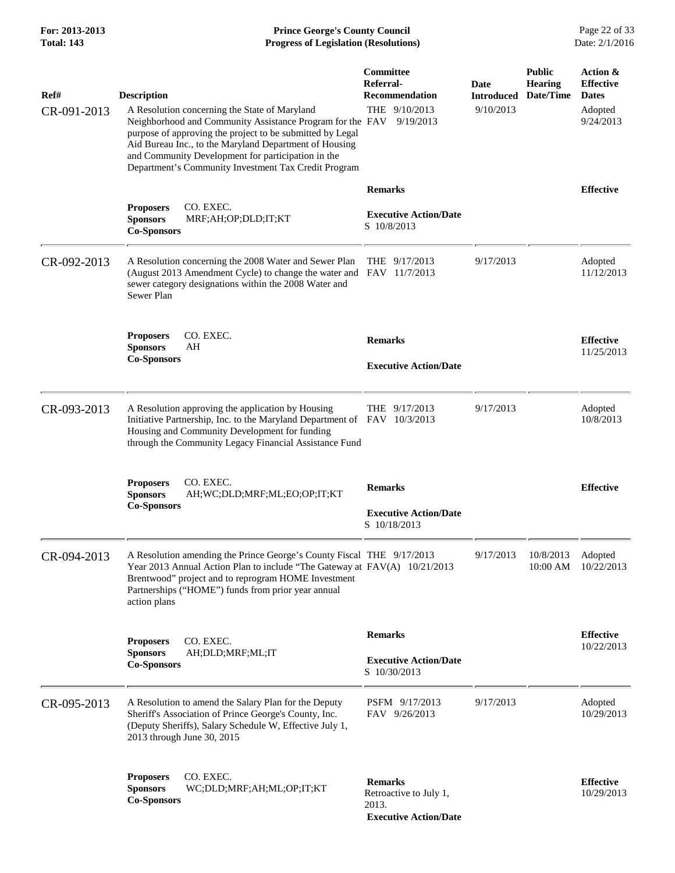**For: 2013-2013 Prince George's County Council** Page 22 of 33<br>**Progress of Legislation (Resolutions)** Date: 2/1/2016 **Progress of Legislation (Resolutions)** 

| Ref#<br>CR-091-2013 | <b>Description</b><br>A Resolution concerning the State of Maryland<br>Neighborhood and Community Assistance Program for the FAV<br>purpose of approving the project to be submitted by Legal<br>Aid Bureau Inc., to the Maryland Department of Housing<br>and Community Development for participation in the | Committee<br>Referral-<br><b>Recommendation</b><br>THE 9/10/2013<br>9/19/2013     | Date<br><b>Introduced</b><br>9/10/2013 | <b>Public</b><br><b>Hearing</b><br>Date/Time | Action &<br><b>Effective</b><br><b>Dates</b><br>Adopted<br>9/24/2013 |
|---------------------|---------------------------------------------------------------------------------------------------------------------------------------------------------------------------------------------------------------------------------------------------------------------------------------------------------------|-----------------------------------------------------------------------------------|----------------------------------------|----------------------------------------------|----------------------------------------------------------------------|
|                     | Department's Community Investment Tax Credit Program<br>CO. EXEC.<br><b>Proposers</b><br><b>Sponsors</b><br>MRF;AH;OP;DLD;IT;KT<br><b>Co-Sponsors</b>                                                                                                                                                         | <b>Remarks</b><br><b>Executive Action/Date</b><br>S 10/8/2013                     |                                        |                                              | <b>Effective</b>                                                     |
| CR-092-2013         | A Resolution concerning the 2008 Water and Sewer Plan<br>(August 2013 Amendment Cycle) to change the water and FAV 11/7/2013<br>sewer category designations within the 2008 Water and<br>Sewer Plan                                                                                                           | THE $9/17/2013$                                                                   | 9/17/2013                              |                                              | Adopted<br>11/12/2013                                                |
|                     | <b>Proposers</b><br>CO. EXEC.<br><b>Sponsors</b><br>AH<br><b>Co-Sponsors</b>                                                                                                                                                                                                                                  | <b>Remarks</b><br><b>Executive Action/Date</b>                                    |                                        |                                              | <b>Effective</b><br>11/25/2013                                       |
| CR-093-2013         | A Resolution approving the application by Housing<br>Initiative Partnership, Inc. to the Maryland Department of FAV 10/3/2013<br>Housing and Community Development for funding<br>through the Community Legacy Financial Assistance Fund                                                                      | THE $9/17/2013$                                                                   | 9/17/2013                              |                                              | Adopted<br>10/8/2013                                                 |
|                     | CO. EXEC.<br><b>Proposers</b><br><b>Sponsors</b><br>AH;WC;DLD;MRF;ML;EO;OP;IT;KT<br><b>Co-Sponsors</b>                                                                                                                                                                                                        | <b>Remarks</b><br><b>Executive Action/Date</b><br>S 10/18/2013                    |                                        |                                              | <b>Effective</b>                                                     |
| CR-094-2013         | A Resolution amending the Prince George's County Fiscal THE 9/17/2013<br>Year 2013 Annual Action Plan to include "The Gateway at FAV(A) 10/21/2013<br>Brentwood" project and to reprogram HOME Investment<br>Partnerships ("HOME") funds from prior year annual<br>action plans                               |                                                                                   | 9/17/2013                              | 10/8/2013 Adopted                            | 10:00 AM 10/22/2013                                                  |
|                     | CO. EXEC.<br><b>Proposers</b><br><b>Sponsors</b><br>AH;DLD;MRF;ML;IT<br><b>Co-Sponsors</b>                                                                                                                                                                                                                    | <b>Remarks</b><br><b>Executive Action/Date</b><br>S 10/30/2013                    |                                        |                                              | <b>Effective</b><br>10/22/2013                                       |
| CR-095-2013         | A Resolution to amend the Salary Plan for the Deputy<br>Sheriff's Association of Prince George's County, Inc.<br>(Deputy Sheriffs), Salary Schedule W, Effective July 1,<br>2013 through June 30, 2015                                                                                                        | PSFM 9/17/2013<br>FAV 9/26/2013                                                   | 9/17/2013                              |                                              | Adopted<br>10/29/2013                                                |
|                     | CO. EXEC.<br><b>Proposers</b><br><b>Sponsors</b><br>WC;DLD;MRF;AH;ML;OP;IT;KT<br><b>Co-Sponsors</b>                                                                                                                                                                                                           | <b>Remarks</b><br>Retroactive to July 1,<br>2013.<br><b>Executive Action/Date</b> |                                        |                                              | <b>Effective</b><br>10/29/2013                                       |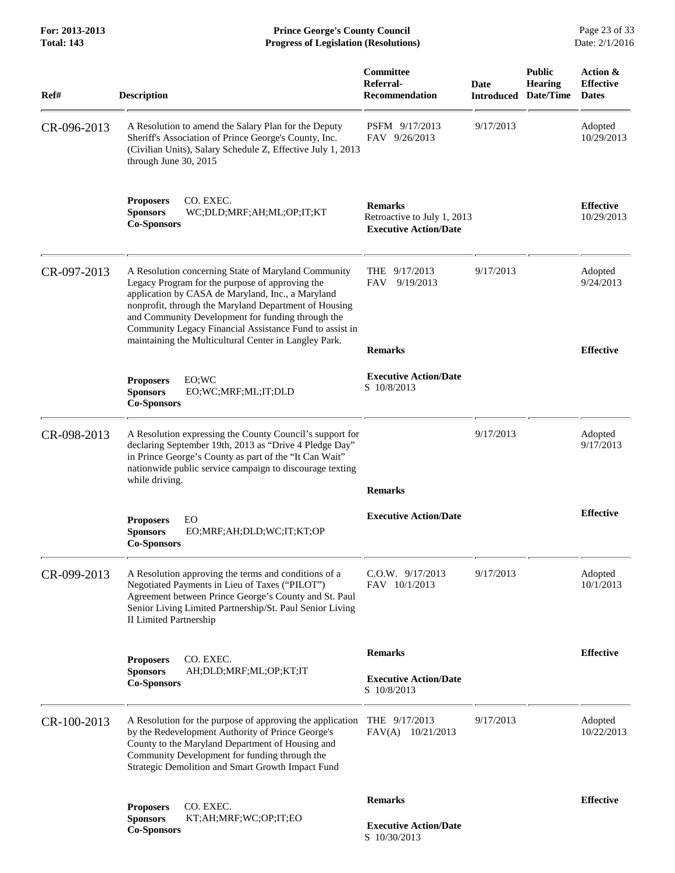**For: 2013-2013 Prince George's County Council** Page 23 of 33<br>**Progress of Legislation (Resolutions)** Date: 2/1/2016 **Progress of Legislation (Resolutions) Progress of Legislation (Resolutions)** 

| Ref#        | <b>Description</b>                                                                                                                                                                                                                                                                                                                                                                            | Committee<br>Referral-<br><b>Recommendation</b>                               | Date<br><b>Introduced</b> | <b>Public</b><br><b>Hearing</b><br>Date/Time | Action &<br><b>Effective</b><br><b>Dates</b> |
|-------------|-----------------------------------------------------------------------------------------------------------------------------------------------------------------------------------------------------------------------------------------------------------------------------------------------------------------------------------------------------------------------------------------------|-------------------------------------------------------------------------------|---------------------------|----------------------------------------------|----------------------------------------------|
| CR-096-2013 | A Resolution to amend the Salary Plan for the Deputy<br>Sheriff's Association of Prince George's County, Inc.<br>(Civilian Units), Salary Schedule Z, Effective July 1, 2013<br>through June 30, 2015                                                                                                                                                                                         | PSFM 9/17/2013<br>FAV 9/26/2013                                               | 9/17/2013                 |                                              | Adopted<br>10/29/2013                        |
|             | <b>Proposers</b><br>CO. EXEC.<br><b>Sponsors</b><br>WC;DLD;MRF;AH;ML;OP;IT;KT<br><b>Co-Sponsors</b>                                                                                                                                                                                                                                                                                           | <b>Remarks</b><br>Retroactive to July 1, 2013<br><b>Executive Action/Date</b> |                           |                                              | <b>Effective</b><br>10/29/2013               |
| CR-097-2013 | A Resolution concerning State of Maryland Community<br>Legacy Program for the purpose of approving the<br>application by CASA de Maryland, Inc., a Maryland<br>nonprofit, through the Maryland Department of Housing<br>and Community Development for funding through the<br>Community Legacy Financial Assistance Fund to assist in<br>maintaining the Multicultural Center in Langley Park. | THE $9/17/2013$<br>9/19/2013<br><b>FAV</b><br><b>Remarks</b>                  | 9/17/2013                 |                                              | Adopted<br>9/24/2013<br><b>Effective</b>     |
|             | EO;WC<br><b>Proposers</b><br><b>Sponsors</b><br>EO;WC;MRF;ML;IT;DLD<br><b>Co-Sponsors</b>                                                                                                                                                                                                                                                                                                     | <b>Executive Action/Date</b><br>S 10/8/2013                                   |                           |                                              |                                              |
| CR-098-2013 | A Resolution expressing the County Council's support for<br>declaring September 19th, 2013 as "Drive 4 Pledge Day"<br>in Prince George's County as part of the "It Can Wait"<br>nationwide public service campaign to discourage texting<br>while driving.                                                                                                                                    |                                                                               | 9/17/2013                 |                                              | Adopted<br>9/17/2013                         |
|             | <b>Proposers</b><br>EO<br><b>Sponsors</b><br>EO;MRF;AH;DLD;WC;IT;KT;OP<br><b>Co-Sponsors</b>                                                                                                                                                                                                                                                                                                  | <b>Remarks</b><br><b>Executive Action/Date</b>                                |                           |                                              | <b>Effective</b>                             |
| CR-099-2013 | A Resolution approving the terms and conditions of a<br>Negotiated Payments in Lieu of Taxes ("PILOT")<br>Agreement between Prince George's County and St. Paul<br>Senior Living Limited Partnership/St. Paul Senior Living<br>II Limited Partnership                                                                                                                                         | $C.0.W.$ $9/17/2013$<br>FAV 10/1/2013                                         | 9/17/2013                 |                                              | Adopted<br>10/1/2013                         |
|             | CO. EXEC.<br><b>Proposers</b><br><b>Sponsors</b><br>AH;DLD;MRF;ML;OP;KT;IT<br><b>Co-Sponsors</b>                                                                                                                                                                                                                                                                                              | <b>Remarks</b><br><b>Executive Action/Date</b><br>S 10/8/2013                 |                           |                                              | <b>Effective</b>                             |
| CR-100-2013 | A Resolution for the purpose of approving the application<br>by the Redevelopment Authority of Prince George's<br>County to the Maryland Department of Housing and<br>Community Development for funding through the<br><b>Strategic Demolition and Smart Growth Impact Fund</b>                                                                                                               | THE $9/17/2013$<br>FAV(A) 10/21/2013                                          | 9/17/2013                 |                                              | Adopted<br>10/22/2013                        |
|             | CO. EXEC.<br><b>Proposers</b><br><b>Sponsors</b><br>KT;AH;MRF;WC;OP;IT;EO<br><b>Co-Sponsors</b>                                                                                                                                                                                                                                                                                               | <b>Remarks</b><br><b>Executive Action/Date</b><br>S 10/30/2013                |                           |                                              | <b>Effective</b>                             |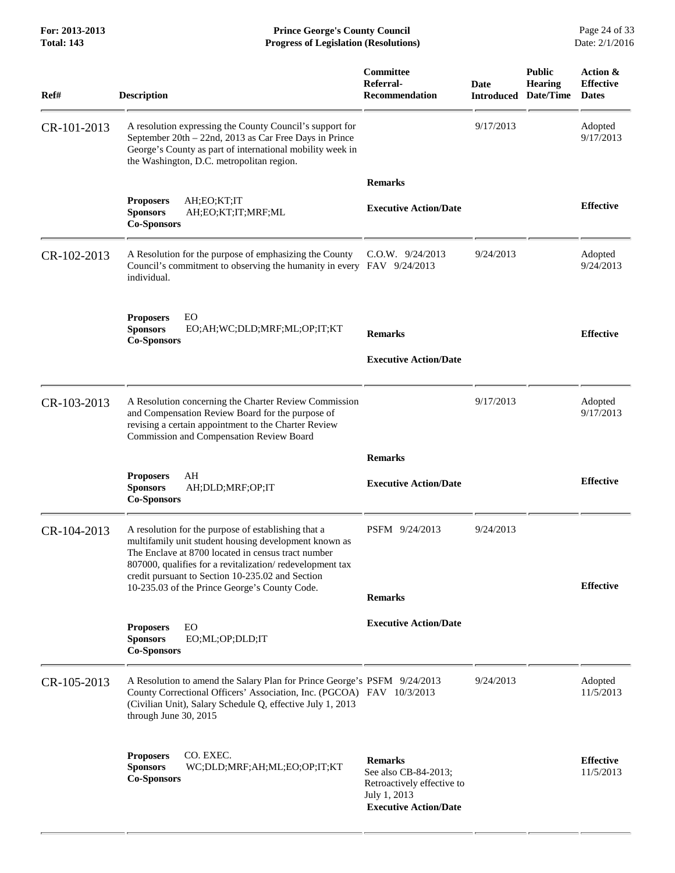**For: 2013-2013 Prince George's County Council** Page 24 of 33<br>**Progress of Legislation (Resolutions)** Date: 2/1/2016 **Progress of Legislation (Resolutions) Progress of Legislation (Resolutions)** 

| Ref#        | <b>Description</b>                                                                                                                                                                                                                                                                 | Committee<br>Referral-<br>Recommendation                                                                             | Date<br><b>Introduced</b> | <b>Public</b><br><b>Hearing</b><br>Date/Time | Action &<br><b>Effective</b><br><b>Dates</b> |
|-------------|------------------------------------------------------------------------------------------------------------------------------------------------------------------------------------------------------------------------------------------------------------------------------------|----------------------------------------------------------------------------------------------------------------------|---------------------------|----------------------------------------------|----------------------------------------------|
| CR-101-2013 | A resolution expressing the County Council's support for<br>September 20th - 22nd, 2013 as Car Free Days in Prince<br>George's County as part of international mobility week in<br>the Washington, D.C. metropolitan region.                                                       |                                                                                                                      | 9/17/2013                 |                                              | Adopted<br>9/17/2013                         |
|             |                                                                                                                                                                                                                                                                                    | <b>Remarks</b>                                                                                                       |                           |                                              |                                              |
|             | <b>Proposers</b><br>AH;EO;KT;IT<br><b>Sponsors</b><br>AH;EO;KT;IT;MRF;ML<br><b>Co-Sponsors</b>                                                                                                                                                                                     | <b>Executive Action/Date</b>                                                                                         |                           |                                              | <b>Effective</b>                             |
| CR-102-2013 | A Resolution for the purpose of emphasizing the County<br>Council's commitment to observing the humanity in every FAV 9/24/2013<br>individual.                                                                                                                                     | C.O.W. 9/24/2013                                                                                                     | 9/24/2013                 |                                              | Adopted<br>9/24/2013                         |
|             | EO<br><b>Proposers</b><br><b>Sponsors</b><br>EO;AH;WC;DLD;MRF;ML;OP;IT;KT<br><b>Co-Sponsors</b>                                                                                                                                                                                    | <b>Remarks</b>                                                                                                       |                           |                                              | <b>Effective</b>                             |
|             |                                                                                                                                                                                                                                                                                    | <b>Executive Action/Date</b>                                                                                         |                           |                                              |                                              |
| CR-103-2013 | A Resolution concerning the Charter Review Commission<br>and Compensation Review Board for the purpose of<br>revising a certain appointment to the Charter Review<br>Commission and Compensation Review Board                                                                      |                                                                                                                      | 9/17/2013                 |                                              | Adopted<br>9/17/2013                         |
|             |                                                                                                                                                                                                                                                                                    | <b>Remarks</b>                                                                                                       |                           |                                              |                                              |
|             | AH<br><b>Proposers</b><br><b>Sponsors</b><br>AH;DLD;MRF;OP;IT<br><b>Co-Sponsors</b>                                                                                                                                                                                                | <b>Executive Action/Date</b>                                                                                         |                           |                                              | <b>Effective</b>                             |
| CR-104-2013 | A resolution for the purpose of establishing that a<br>multifamily unit student housing development known as<br>The Enclave at 8700 located in census tract number<br>807000, qualifies for a revitalization/redevelopment tax<br>credit pursuant to Section 10-235.02 and Section | PSFM 9/24/2013                                                                                                       | 9/24/2013                 |                                              |                                              |
|             | 10-235.03 of the Prince George's County Code.                                                                                                                                                                                                                                      | <b>Remarks</b>                                                                                                       |                           |                                              | <b>Effective</b>                             |
|             | EO<br><b>Proposers</b><br><b>Sponsors</b><br>EO;ML;OP;DLD;IT<br><b>Co-Sponsors</b>                                                                                                                                                                                                 | <b>Executive Action/Date</b>                                                                                         |                           |                                              |                                              |
| CR-105-2013 | A Resolution to amend the Salary Plan for Prince George's PSFM 9/24/2013<br>County Correctional Officers' Association, Inc. (PGCOA) FAV 10/3/2013<br>(Civilian Unit), Salary Schedule Q, effective July 1, 2013<br>through June 30, 2015                                           |                                                                                                                      | 9/24/2013                 |                                              | Adopted<br>11/5/2013                         |
|             | <b>Proposers</b><br>CO. EXEC.<br><b>Sponsors</b><br>WC;DLD;MRF;AH;ML;EO;OP;IT;KT<br><b>Co-Sponsors</b>                                                                                                                                                                             | <b>Remarks</b><br>See also CB-84-2013;<br>Retroactively effective to<br>July 1, 2013<br><b>Executive Action/Date</b> |                           |                                              | <b>Effective</b><br>11/5/2013                |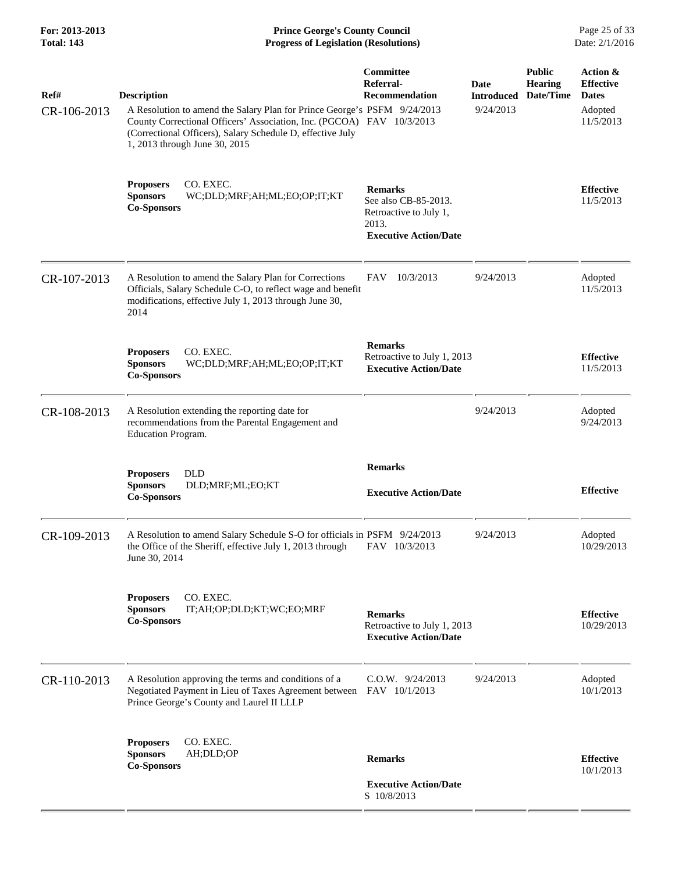**For: 2013-2013 Prince George's County Council** Page 25 of 33<br>**Prince George's County Council** Page 25 of 33<br>Date: 2/1/2016 **Progress of Legislation (Resolutions) Progress of Legislation (Resolutions)** 

| Ref#<br>CR-106-2013 | <b>Description</b><br>A Resolution to amend the Salary Plan for Prince George's PSFM 9/24/2013<br>County Correctional Officers' Association, Inc. (PGCOA) FAV 10/3/2013                               | Committee<br>Referral-<br><b>Recommendation</b>                                                           | Date<br><b>Introduced</b><br>9/24/2013 | <b>Public</b><br><b>Hearing</b><br>Date/Time | Action &<br><b>Effective</b><br><b>Dates</b><br>Adopted<br>11/5/2013 |
|---------------------|-------------------------------------------------------------------------------------------------------------------------------------------------------------------------------------------------------|-----------------------------------------------------------------------------------------------------------|----------------------------------------|----------------------------------------------|----------------------------------------------------------------------|
|                     | (Correctional Officers), Salary Schedule D, effective July<br>1, 2013 through June 30, 2015<br>CO. EXEC.<br><b>Proposers</b><br><b>Sponsors</b><br>WC;DLD;MRF;AH;ML;EO;OP;IT;KT<br><b>Co-Sponsors</b> | <b>Remarks</b><br>See also CB-85-2013.<br>Retroactive to July 1,<br>2013.<br><b>Executive Action/Date</b> |                                        |                                              | <b>Effective</b><br>11/5/2013                                        |
| CR-107-2013         | A Resolution to amend the Salary Plan for Corrections<br>Officials, Salary Schedule C-O, to reflect wage and benefit<br>modifications, effective July 1, 2013 through June 30,<br>2014                | 10/3/2013<br>FAV                                                                                          | 9/24/2013                              |                                              | Adopted<br>11/5/2013                                                 |
|                     | CO. EXEC.<br><b>Proposers</b><br><b>Sponsors</b><br>WC;DLD;MRF;AH;ML;EO;OP;IT;KT<br><b>Co-Sponsors</b>                                                                                                | <b>Remarks</b><br>Retroactive to July 1, 2013<br><b>Executive Action/Date</b>                             |                                        |                                              | <b>Effective</b><br>11/5/2013                                        |
| CR-108-2013         | A Resolution extending the reporting date for<br>recommendations from the Parental Engagement and<br>Education Program.                                                                               |                                                                                                           | 9/24/2013                              |                                              | Adopted<br>9/24/2013                                                 |
|                     | <b>DLD</b><br><b>Proposers</b><br><b>Sponsors</b><br>DLD;MRF;ML;EO;KT<br><b>Co-Sponsors</b>                                                                                                           | <b>Remarks</b><br><b>Executive Action/Date</b>                                                            |                                        |                                              | <b>Effective</b>                                                     |
| CR-109-2013         | A Resolution to amend Salary Schedule S-O for officials in PSFM 9/24/2013<br>the Office of the Sheriff, effective July 1, 2013 through<br>June 30, 2014                                               | FAV 10/3/2013                                                                                             | 9/24/2013                              |                                              | Adopted<br>10/29/2013                                                |
|                     | CO. EXEC.<br><b>Proposers</b><br><b>Sponsors</b><br>IT;AH;OP;DLD;KT;WC;EO;MRF<br><b>Co-Sponsors</b>                                                                                                   | <b>Remarks</b><br>Retroactive to July 1, 2013<br><b>Executive Action/Date</b>                             |                                        |                                              | <b>Effective</b><br>10/29/2013                                       |
| CR-110-2013         | A Resolution approving the terms and conditions of a<br>Negotiated Payment in Lieu of Taxes Agreement between FAV 10/1/2013<br>Prince George's County and Laurel II LLLP                              | $C.0.W.$ 9/24/2013                                                                                        | 9/24/2013                              |                                              | Adopted<br>10/1/2013                                                 |
|                     | CO. EXEC.<br><b>Proposers</b><br><b>Sponsors</b><br>AH;DLD;OP<br><b>Co-Sponsors</b>                                                                                                                   | <b>Remarks</b>                                                                                            |                                        |                                              | <b>Effective</b><br>10/1/2013                                        |
|                     |                                                                                                                                                                                                       | <b>Executive Action/Date</b><br>S 10/8/2013                                                               |                                        |                                              |                                                                      |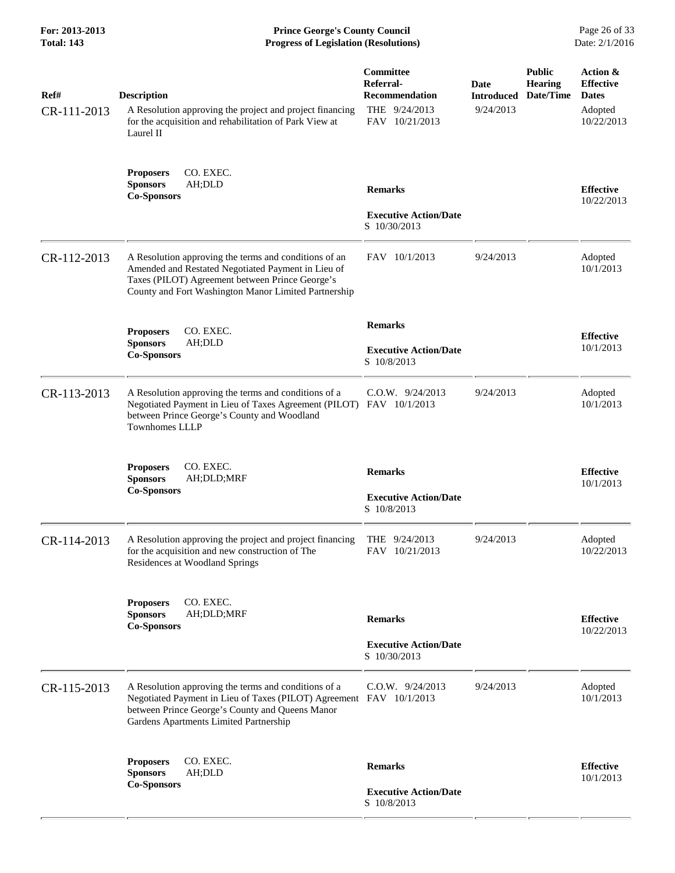| For: 2013-2013<br><b>Total: 143</b> | <b>Prince George's County Council</b><br><b>Progress of Legislation (Resolutions)</b>                                                                                                                                    |                                                                                           |                                        |                                              | Page 26 of 33<br>Date: 2/1/2016                                       |
|-------------------------------------|--------------------------------------------------------------------------------------------------------------------------------------------------------------------------------------------------------------------------|-------------------------------------------------------------------------------------------|----------------------------------------|----------------------------------------------|-----------------------------------------------------------------------|
| Ref#<br>CR-111-2013                 | <b>Description</b><br>A Resolution approving the project and project financing<br>for the acquisition and rehabilitation of Park View at<br>Laurel II                                                                    | <b>Committee</b><br>Referral-<br><b>Recommendation</b><br>THE 9/24/2013<br>FAV 10/21/2013 | Date<br><b>Introduced</b><br>9/24/2013 | <b>Public</b><br><b>Hearing</b><br>Date/Time | Action &<br><b>Effective</b><br><b>Dates</b><br>Adopted<br>10/22/2013 |
|                                     | <b>Proposers</b><br>CO. EXEC.<br>AH;DLD<br><b>Sponsors</b><br><b>Co-Sponsors</b>                                                                                                                                         | <b>Remarks</b><br><b>Executive Action/Date</b><br>S 10/30/2013                            |                                        |                                              | <b>Effective</b><br>10/22/2013                                        |
| CR-112-2013                         | A Resolution approving the terms and conditions of an<br>Amended and Restated Negotiated Payment in Lieu of<br>Taxes (PILOT) Agreement between Prince George's<br>County and Fort Washington Manor Limited Partnership   | FAV 10/1/2013                                                                             | 9/24/2013                              |                                              | Adopted<br>10/1/2013                                                  |
|                                     | <b>Proposers</b><br>CO. EXEC.<br><b>Sponsors</b><br>AH;DLD<br><b>Co-Sponsors</b>                                                                                                                                         | <b>Remarks</b><br><b>Executive Action/Date</b><br>S 10/8/2013                             |                                        |                                              | <b>Effective</b><br>10/1/2013                                         |
| CR-113-2013                         | A Resolution approving the terms and conditions of a<br>Negotiated Payment in Lieu of Taxes Agreement (PILOT) FAV 10/1/2013<br>between Prince George's County and Woodland<br><b>Townhomes LLLP</b>                      | $C.O.W.$ 9/24/2013                                                                        | 9/24/2013                              |                                              | Adopted<br>10/1/2013                                                  |
|                                     | <b>Proposers</b><br>CO. EXEC.<br><b>Sponsors</b><br>AH;DLD;MRF<br><b>Co-Sponsors</b>                                                                                                                                     | <b>Remarks</b><br><b>Executive Action/Date</b><br>S 10/8/2013                             |                                        |                                              | <b>Effective</b><br>10/1/2013                                         |
| CR-114-2013                         | A Resolution approving the project and project financing<br>for the acquisition and new construction of The<br>Residences at Woodland Springs                                                                            | THE 9/24/2013<br>FAV 10/21/2013                                                           | 9/24/2013                              |                                              | Adopted<br>10/22/2013                                                 |
|                                     | CO. EXEC.<br><b>Proposers</b><br><b>Sponsors</b><br>AH;DLD;MRF<br><b>Co-Sponsors</b>                                                                                                                                     | <b>Remarks</b><br><b>Executive Action/Date</b><br>S 10/30/2013                            |                                        |                                              | <b>Effective</b><br>10/22/2013                                        |
| CR-115-2013                         | A Resolution approving the terms and conditions of a<br>Negotiated Payment in Lieu of Taxes (PILOT) Agreement FAV 10/1/2013<br>between Prince George's County and Queens Manor<br>Gardens Apartments Limited Partnership | $C.O.W.$ 9/24/2013                                                                        | 9/24/2013                              |                                              | Adopted<br>10/1/2013                                                  |
|                                     | CO. EXEC.<br><b>Proposers</b><br><b>Sponsors</b><br>AH;DLD<br><b>Co-Sponsors</b>                                                                                                                                         | <b>Remarks</b><br><b>Executive Action/Date</b><br>S 10/8/2013                             |                                        |                                              | <b>Effective</b><br>10/1/2013                                         |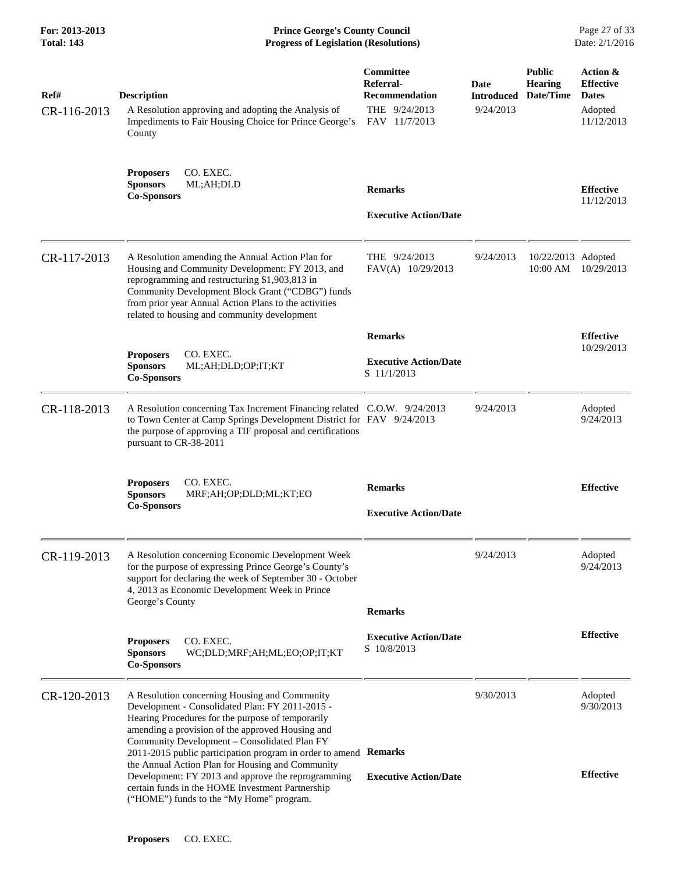| For: 2013-2013<br><b>Total: 143</b> | <b>Prince George's County Council</b><br><b>Progress of Legislation (Resolutions)</b>                                                                                                                                                                                                                                         |                                                                                   |                                        |                                              | Page 27 of 33<br>Date: 2/1/2016                                       |
|-------------------------------------|-------------------------------------------------------------------------------------------------------------------------------------------------------------------------------------------------------------------------------------------------------------------------------------------------------------------------------|-----------------------------------------------------------------------------------|----------------------------------------|----------------------------------------------|-----------------------------------------------------------------------|
| Ref#<br>CR-116-2013                 | <b>Description</b><br>A Resolution approving and adopting the Analysis of<br>Impediments to Fair Housing Choice for Prince George's<br>County                                                                                                                                                                                 | Committee<br>Referral-<br><b>Recommendation</b><br>THE 9/24/2013<br>FAV 11/7/2013 | Date<br><b>Introduced</b><br>9/24/2013 | <b>Public</b><br><b>Hearing</b><br>Date/Time | Action &<br><b>Effective</b><br><b>Dates</b><br>Adopted<br>11/12/2013 |
|                                     | CO. EXEC.<br><b>Proposers</b><br><b>Sponsors</b><br>ML;AH;DLD<br><b>Co-Sponsors</b>                                                                                                                                                                                                                                           | <b>Remarks</b><br><b>Executive Action/Date</b>                                    |                                        |                                              | <b>Effective</b><br>11/12/2013                                        |
| CR-117-2013                         | A Resolution amending the Annual Action Plan for<br>Housing and Community Development: FY 2013, and<br>reprogramming and restructuring \$1,903,813 in<br>Community Development Block Grant ("CDBG") funds<br>from prior year Annual Action Plans to the activities<br>related to housing and community development            | THE 9/24/2013<br>FAV(A) 10/29/2013                                                | 9/24/2013                              | 10/22/2013 Adopted<br>10:00 AM               | 10/29/2013                                                            |
|                                     | CO. EXEC.<br><b>Proposers</b><br><b>Sponsors</b><br>ML;AH;DLD;OP;IT;KT<br><b>Co-Sponsors</b>                                                                                                                                                                                                                                  | <b>Remarks</b><br><b>Executive Action/Date</b><br>S 11/1/2013                     |                                        |                                              | <b>Effective</b><br>10/29/2013                                        |
| CR-118-2013                         | A Resolution concerning Tax Increment Financing related C.O.W. 9/24/2013<br>to Town Center at Camp Springs Development District for FAV 9/24/2013<br>the purpose of approving a TIF proposal and certifications<br>pursuant to CR-38-2011                                                                                     |                                                                                   | 9/24/2013                              |                                              | Adopted<br>9/24/2013                                                  |
|                                     | CO. EXEC.<br><b>Proposers</b><br><b>Sponsors</b><br>MRF;AH;OP;DLD;ML;KT;EO<br><b>Co-Sponsors</b>                                                                                                                                                                                                                              | <b>Remarks</b><br><b>Executive Action/Date</b>                                    |                                        |                                              | <b>Effective</b>                                                      |
| CR-119-2013                         | A Resolution concerning Economic Development Week<br>for the purpose of expressing Prince George's County's<br>support for declaring the week of September 30 - October<br>4, 2013 as Economic Development Week in Prince<br>George's County                                                                                  | <b>Remarks</b>                                                                    | 9/24/2013                              |                                              | Adopted<br>9/24/2013                                                  |
|                                     | CO. EXEC.<br><b>Proposers</b><br><b>Sponsors</b><br>WC;DLD;MRF;AH;ML;EO;OP;IT;KT<br><b>Co-Sponsors</b>                                                                                                                                                                                                                        | <b>Executive Action/Date</b><br>S 10/8/2013                                       |                                        |                                              | <b>Effective</b>                                                      |
| CR-120-2013                         | A Resolution concerning Housing and Community<br>Development - Consolidated Plan: FY 2011-2015 -<br>Hearing Procedures for the purpose of temporarily<br>amending a provision of the approved Housing and<br>Community Development - Consolidated Plan FY<br>2011-2015 public participation program in order to amend Remarks |                                                                                   | 9/30/2013                              |                                              | Adopted<br>9/30/2013                                                  |
|                                     | the Annual Action Plan for Housing and Community<br>Development: FY 2013 and approve the reprogramming<br>certain funds in the HOME Investment Partnership<br>("HOME") funds to the "My Home" program.                                                                                                                        | <b>Executive Action/Date</b>                                                      |                                        |                                              | <b>Effective</b>                                                      |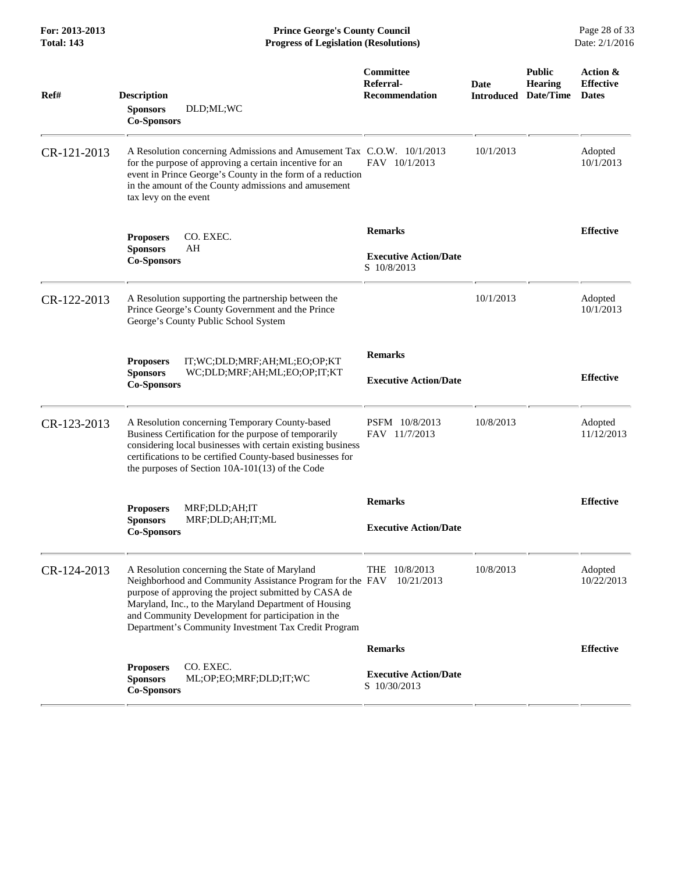**For: 2013-2013 Prince George's County Council** Page 28 of 33<br>**Progress of Legislation (Resolutions)** Date: 2/1/2016 **Progress of Legislation (Resolutions) Progress of Legislation (Resolutions)** 

| Ref#        | <b>Description</b><br>DLD;ML;WC<br><b>Sponsors</b><br><b>Co-Sponsors</b>                                                                                                                                                                                                                                                                   | Committee<br>Referral-<br><b>Recommendation</b>               | Date<br>Introduced | <b>Public</b><br><b>Hearing</b><br>Date/Time | Action &<br><b>Effective</b><br><b>Dates</b> |
|-------------|--------------------------------------------------------------------------------------------------------------------------------------------------------------------------------------------------------------------------------------------------------------------------------------------------------------------------------------------|---------------------------------------------------------------|--------------------|----------------------------------------------|----------------------------------------------|
| CR-121-2013 | A Resolution concerning Admissions and Amusement Tax C.O.W. 10/1/2013<br>for the purpose of approving a certain incentive for an<br>event in Prince George's County in the form of a reduction<br>in the amount of the County admissions and amusement<br>tax levy on the event                                                            | FAV 10/1/2013                                                 | 10/1/2013          |                                              | Adopted<br>10/1/2013                         |
|             | CO. EXEC.<br><b>Proposers</b><br><b>Sponsors</b><br>AH<br><b>Co-Sponsors</b>                                                                                                                                                                                                                                                               | <b>Remarks</b><br><b>Executive Action/Date</b><br>S 10/8/2013 |                    |                                              | <b>Effective</b>                             |
| CR-122-2013 | A Resolution supporting the partnership between the<br>Prince George's County Government and the Prince<br>George's County Public School System                                                                                                                                                                                            |                                                               | 10/1/2013          |                                              | Adopted<br>10/1/2013                         |
|             | IT;WC;DLD;MRF;AH;ML;EO;OP;KT<br><b>Proposers</b><br><b>Sponsors</b><br>WC;DLD;MRF;AH;ML;EO;OP;IT;KT<br><b>Co-Sponsors</b>                                                                                                                                                                                                                  | <b>Remarks</b><br><b>Executive Action/Date</b>                |                    |                                              | <b>Effective</b>                             |
| CR-123-2013 | A Resolution concerning Temporary County-based<br>Business Certification for the purpose of temporarily<br>considering local businesses with certain existing business<br>certifications to be certified County-based businesses for<br>the purposes of Section 10A-101(13) of the Code                                                    | PSFM 10/8/2013<br>FAV 11/7/2013                               | 10/8/2013          |                                              | Adopted<br>11/12/2013                        |
|             | <b>Proposers</b><br>MRF;DLD;AH;IT<br><b>Sponsors</b><br>MRF;DLD;AH;IT;ML<br><b>Co-Sponsors</b>                                                                                                                                                                                                                                             | <b>Remarks</b><br><b>Executive Action/Date</b>                |                    |                                              | <b>Effective</b>                             |
| CR-124-2013 | A Resolution concerning the State of Maryland<br>Neighborhood and Community Assistance Program for the FAV<br>purpose of approving the project submitted by CASA de<br>Maryland, Inc., to the Maryland Department of Housing<br>and Community Development for participation in the<br>Department's Community Investment Tax Credit Program | THE 10/8/2013<br>10/21/2013                                   | 10/8/2013          |                                              | Adopted<br>10/22/2013                        |
|             |                                                                                                                                                                                                                                                                                                                                            | <b>Remarks</b>                                                |                    |                                              | <b>Effective</b>                             |
|             | CO. EXEC.<br><b>Proposers</b><br><b>Sponsors</b><br>ML;OP;EO;MRF;DLD;IT;WC<br><b>Co-Sponsors</b>                                                                                                                                                                                                                                           | <b>Executive Action/Date</b><br>S 10/30/2013                  |                    |                                              |                                              |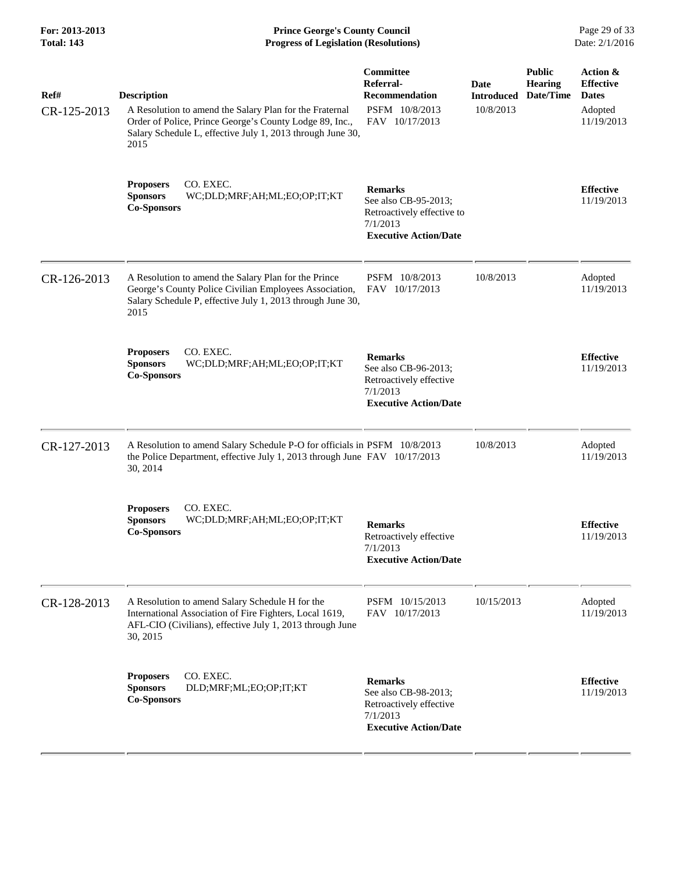| For: 2013-2013<br><b>Total: 143</b> | <b>Prince George's County Council</b><br><b>Progress of Legislation (Resolutions)</b>                                                                                                                          |                                                                                                                  |                                        |                                              | Page 29 of 33<br>Date: 2/1/2016                                       |
|-------------------------------------|----------------------------------------------------------------------------------------------------------------------------------------------------------------------------------------------------------------|------------------------------------------------------------------------------------------------------------------|----------------------------------------|----------------------------------------------|-----------------------------------------------------------------------|
| Ref#<br>CR-125-2013                 | <b>Description</b><br>A Resolution to amend the Salary Plan for the Fraternal<br>Order of Police, Prince George's County Lodge 89, Inc.,<br>Salary Schedule L, effective July 1, 2013 through June 30,<br>2015 | Committee<br>Referral-<br><b>Recommendation</b><br>PSFM 10/8/2013<br>FAV 10/17/2013                              | Date<br><b>Introduced</b><br>10/8/2013 | <b>Public</b><br><b>Hearing</b><br>Date/Time | Action &<br><b>Effective</b><br><b>Dates</b><br>Adopted<br>11/19/2013 |
|                                     | CO. EXEC.<br><b>Proposers</b><br><b>Sponsors</b><br>WC;DLD;MRF;AH;ML;EO;OP;IT;KT<br><b>Co-Sponsors</b>                                                                                                         | <b>Remarks</b><br>See also CB-95-2013;<br>Retroactively effective to<br>7/1/2013<br><b>Executive Action/Date</b> |                                        |                                              | <b>Effective</b><br>11/19/2013                                        |
| CR-126-2013                         | A Resolution to amend the Salary Plan for the Prince<br>George's County Police Civilian Employees Association,<br>Salary Schedule P, effective July 1, 2013 through June 30,<br>2015                           | PSFM 10/8/2013<br>FAV 10/17/2013                                                                                 | 10/8/2013                              |                                              | Adopted<br>11/19/2013                                                 |
|                                     | CO. EXEC.<br><b>Proposers</b><br><b>Sponsors</b><br>WC;DLD;MRF;AH;ML;EO;OP;IT;KT<br><b>Co-Sponsors</b>                                                                                                         | <b>Remarks</b><br>See also CB-96-2013;<br>Retroactively effective<br>7/1/2013<br><b>Executive Action/Date</b>    |                                        |                                              | <b>Effective</b><br>11/19/2013                                        |
| CR-127-2013                         | A Resolution to amend Salary Schedule P-O for officials in PSFM 10/8/2013<br>the Police Department, effective July 1, 2013 through June FAV 10/17/2013<br>30, 2014                                             |                                                                                                                  | 10/8/2013                              |                                              | Adopted<br>11/19/2013                                                 |
|                                     | CO. EXEC.<br><b>Proposers</b><br>WC;DLD;MRF;AH;ML;EO;OP;IT;KT<br><b>Sponsors</b><br><b>Co-Sponsors</b>                                                                                                         | <b>Remarks</b><br>Retroactively effective<br>7/1/2013<br><b>Executive Action/Date</b>                            |                                        |                                              | <b>Effective</b><br>11/19/2013                                        |
| CR-128-2013                         | A Resolution to amend Salary Schedule H for the<br>International Association of Fire Fighters, Local 1619,<br>AFL-CIO (Civilians), effective July 1, 2013 through June<br>30, 2015                             | PSFM 10/15/2013<br>FAV 10/17/2013                                                                                | 10/15/2013                             |                                              | Adopted<br>11/19/2013                                                 |
|                                     | CO. EXEC.<br><b>Proposers</b><br><b>Sponsors</b><br>DLD;MRF;ML;EO;OP;IT;KT<br><b>Co-Sponsors</b>                                                                                                               | <b>Remarks</b><br>See also CB-98-2013;<br>Retroactively effective<br>7/1/2013<br><b>Executive Action/Date</b>    |                                        |                                              | <b>Effective</b><br>11/19/2013                                        |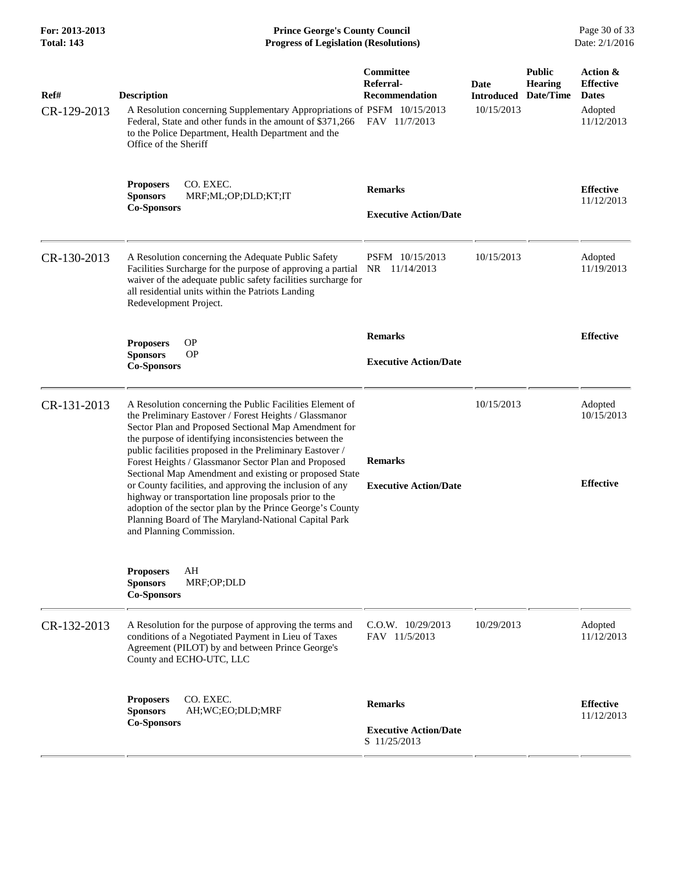**For: 2013-2013 Prince George's County Council** Page 30 of 33<br>**Progress of Legislation (Resolutions)** Date: 2/1/2016 **Progress of Legislation (Resolutions) Progress of Legislation (Resolutions)** 

| Ref#<br>CR-129-2013 | <b>Description</b><br>A Resolution concerning Supplementary Appropriations of PSFM 10/15/2013<br>Federal, State and other funds in the amount of \$371,266<br>to the Police Department, Health Department and the<br>Office of the Sheriff                                                                                                                                                                                                                                                                                                                                                                                                                                               | Committee<br>Referral-<br>Recommendation<br>FAV 11/7/2013      | Date<br><b>Introduced</b><br>10/15/2013 | <b>Public</b><br><b>Hearing</b><br>Date/Time | Action &<br><b>Effective</b><br><b>Dates</b><br>Adopted<br>11/12/2013 |
|---------------------|------------------------------------------------------------------------------------------------------------------------------------------------------------------------------------------------------------------------------------------------------------------------------------------------------------------------------------------------------------------------------------------------------------------------------------------------------------------------------------------------------------------------------------------------------------------------------------------------------------------------------------------------------------------------------------------|----------------------------------------------------------------|-----------------------------------------|----------------------------------------------|-----------------------------------------------------------------------|
|                     | CO. EXEC.<br><b>Proposers</b><br><b>Sponsors</b><br>MRF;ML;OP;DLD;KT;IT<br><b>Co-Sponsors</b>                                                                                                                                                                                                                                                                                                                                                                                                                                                                                                                                                                                            | <b>Remarks</b><br><b>Executive Action/Date</b>                 |                                         |                                              | <b>Effective</b><br>11/12/2013                                        |
| CR-130-2013         | A Resolution concerning the Adequate Public Safety<br>Facilities Surcharge for the purpose of approving a partial NR 11/14/2013<br>waiver of the adequate public safety facilities surcharge for<br>all residential units within the Patriots Landing<br>Redevelopment Project.                                                                                                                                                                                                                                                                                                                                                                                                          | PSFM 10/15/2013                                                | 10/15/2013                              |                                              | Adopted<br>11/19/2013                                                 |
|                     | <b>OP</b><br><b>Proposers</b><br><b>Sponsors</b><br><b>OP</b><br><b>Co-Sponsors</b>                                                                                                                                                                                                                                                                                                                                                                                                                                                                                                                                                                                                      | <b>Remarks</b><br><b>Executive Action/Date</b>                 |                                         |                                              | <b>Effective</b>                                                      |
| CR-131-2013         | A Resolution concerning the Public Facilities Element of<br>the Preliminary Eastover / Forest Heights / Glassmanor<br>Sector Plan and Proposed Sectional Map Amendment for<br>the purpose of identifying inconsistencies between the<br>public facilities proposed in the Preliminary Eastover /<br>Forest Heights / Glassmanor Sector Plan and Proposed<br>Sectional Map Amendment and existing or proposed State<br>or County facilities, and approving the inclusion of any<br>highway or transportation line proposals prior to the<br>adoption of the sector plan by the Prince George's County<br>Planning Board of The Maryland-National Capital Park<br>and Planning Commission. | <b>Remarks</b><br><b>Executive Action/Date</b>                 | 10/15/2013                              |                                              | Adopted<br>10/15/2013<br><b>Effective</b>                             |
|                     | AH<br><b>Proposers</b><br><b>Sponsors</b><br>MRF;OP;DLD<br><b>Co-Sponsors</b>                                                                                                                                                                                                                                                                                                                                                                                                                                                                                                                                                                                                            |                                                                |                                         |                                              |                                                                       |
| CR-132-2013         | A Resolution for the purpose of approving the terms and<br>conditions of a Negotiated Payment in Lieu of Taxes<br>Agreement (PILOT) by and between Prince George's<br>County and ECHO-UTC, LLC                                                                                                                                                                                                                                                                                                                                                                                                                                                                                           | $C.0.W.$ $10/29/2013$<br>FAV 11/5/2013                         | 10/29/2013                              |                                              | Adopted<br>11/12/2013                                                 |
|                     | CO. EXEC.<br><b>Proposers</b><br><b>Sponsors</b><br>AH;WC;EO;DLD;MRF<br><b>Co-Sponsors</b>                                                                                                                                                                                                                                                                                                                                                                                                                                                                                                                                                                                               | <b>Remarks</b><br><b>Executive Action/Date</b><br>S 11/25/2013 |                                         |                                              | <b>Effective</b><br>11/12/2013                                        |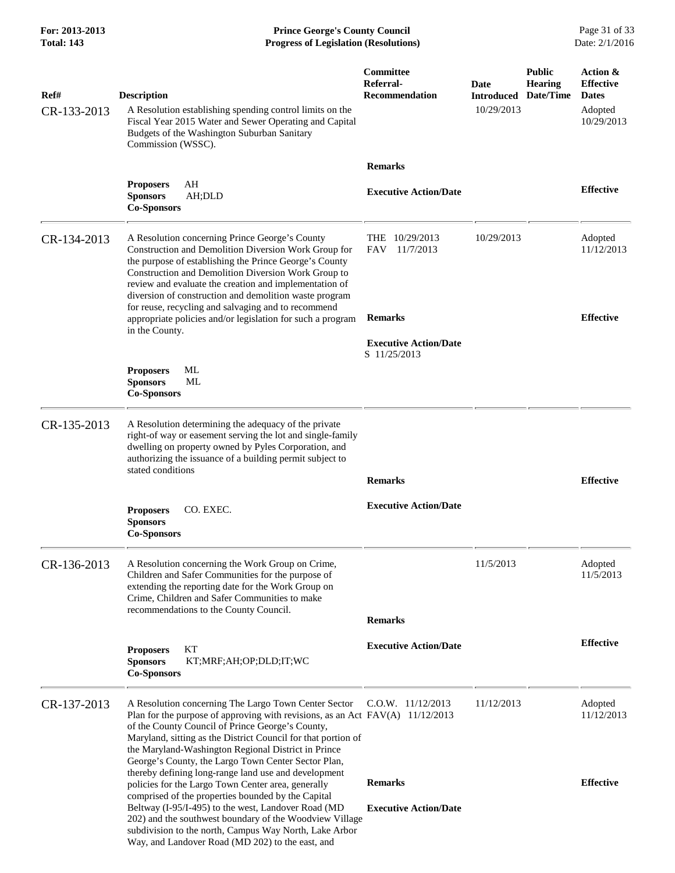**For: 2013-2013 Prince George's County Council** Page 31 of 33<br>**Progress of Legislation (Resolutions)** Date: 2/1/2016 **Progress of Legislation (Resolutions) Progress of Legislation (Resolutions)** 

| Ref#<br>CR-133-2013 | <b>Description</b><br>A Resolution establishing spending control limits on the<br>Fiscal Year 2015 Water and Sewer Operating and Capital<br>Budgets of the Washington Suburban Sanitary<br>Commission (WSSC).                                                                                                                                                                                                                                                                      | Committee<br>Referral-<br><b>Recommendation</b>                                                                       | Date<br><b>Introduced</b><br>10/29/2013 | <b>Public</b><br><b>Hearing</b><br>Date/Time | Action &<br><b>Effective</b><br><b>Dates</b><br>Adopted<br>10/29/2013 |
|---------------------|------------------------------------------------------------------------------------------------------------------------------------------------------------------------------------------------------------------------------------------------------------------------------------------------------------------------------------------------------------------------------------------------------------------------------------------------------------------------------------|-----------------------------------------------------------------------------------------------------------------------|-----------------------------------------|----------------------------------------------|-----------------------------------------------------------------------|
|                     | AH<br><b>Proposers</b><br><b>Sponsors</b><br>AH;DLD<br><b>Co-Sponsors</b>                                                                                                                                                                                                                                                                                                                                                                                                          | <b>Remarks</b><br><b>Executive Action/Date</b>                                                                        |                                         |                                              | <b>Effective</b>                                                      |
| CR-134-2013         | A Resolution concerning Prince George's County<br>Construction and Demolition Diversion Work Group for<br>the purpose of establishing the Prince George's County<br>Construction and Demolition Diversion Work Group to<br>review and evaluate the creation and implementation of<br>diversion of construction and demolition waste program<br>for reuse, recycling and salvaging and to recommend<br>appropriate policies and/or legislation for such a program<br>in the County. | <b>THE</b><br>10/29/2013<br><b>FAV</b><br>11/7/2013<br><b>Remarks</b><br><b>Executive Action/Date</b><br>S 11/25/2013 | 10/29/2013                              |                                              | Adopted<br>11/12/2013<br><b>Effective</b>                             |
|                     | ML<br><b>Proposers</b><br><b>Sponsors</b><br>ML<br><b>Co-Sponsors</b>                                                                                                                                                                                                                                                                                                                                                                                                              |                                                                                                                       |                                         |                                              |                                                                       |
| CR-135-2013         | A Resolution determining the adequacy of the private<br>right-of way or easement serving the lot and single-family<br>dwelling on property owned by Pyles Corporation, and<br>authorizing the issuance of a building permit subject to<br>stated conditions                                                                                                                                                                                                                        | <b>Remarks</b>                                                                                                        |                                         |                                              | <b>Effective</b>                                                      |
|                     | <b>Proposers</b><br>CO. EXEC.<br><b>Sponsors</b><br><b>Co-Sponsors</b>                                                                                                                                                                                                                                                                                                                                                                                                             | <b>Executive Action/Date</b>                                                                                          |                                         |                                              |                                                                       |
| CR-136-2013         | A Resolution concerning the Work Group on Crime,<br>Children and Safer Communities for the purpose of<br>extending the reporting date for the Work Group on<br>Crime, Children and Safer Communities to make<br>recommendations to the County Council.                                                                                                                                                                                                                             | <b>Remarks</b>                                                                                                        | 11/5/2013                               |                                              | Adopted<br>11/5/2013                                                  |
|                     | <b>Proposers</b><br>KТ<br><b>Sponsors</b><br>KT;MRF;AH;OP;DLD;IT;WC<br><b>Co-Sponsors</b>                                                                                                                                                                                                                                                                                                                                                                                          | <b>Executive Action/Date</b>                                                                                          |                                         |                                              | <b>Effective</b>                                                      |
| CR-137-2013         | A Resolution concerning The Largo Town Center Sector<br>Plan for the purpose of approving with revisions, as an Act FAV(A) 11/12/2013<br>of the County Council of Prince George's County,<br>Maryland, sitting as the District Council for that portion of<br>the Maryland-Washington Regional District in Prince<br>George's County, the Largo Town Center Sector Plan,<br>thereby defining long-range land use and development                                                   | $C.0.W.$ 11/12/2013                                                                                                   | 11/12/2013                              |                                              | Adopted<br>11/12/2013                                                 |
|                     | policies for the Largo Town Center area, generally<br>comprised of the properties bounded by the Capital<br>Beltway (I-95/I-495) to the west, Landover Road (MD<br>202) and the southwest boundary of the Woodview Village<br>subdivision to the north, Campus Way North, Lake Arbor<br>Way, and Landover Road (MD 202) to the east, and                                                                                                                                           | <b>Remarks</b><br><b>Executive Action/Date</b>                                                                        |                                         |                                              | <b>Effective</b>                                                      |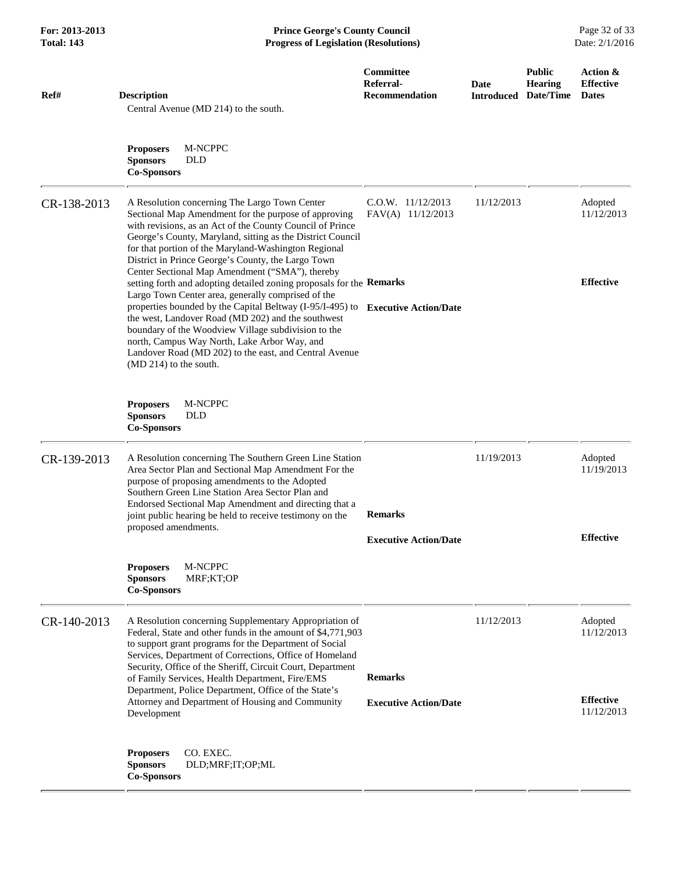**For: 2013-2013 Prince George's County Council** Page 32 of 33<br>**Progress of Legislation (Resolutions)** Date: 2/1/2016 **Total: 143 Progress of Legislation (Resolutions)** 

| Ref#        | <b>Description</b><br>Central Avenue (MD 214) to the south.                                                                                                                                                                                                                                                                                                                                                                                                      | Committee<br>Referral-<br><b>Recommendation</b> | Date<br><b>Introduced</b> | <b>Public</b><br><b>Hearing</b><br>Date/Time | Action &<br><b>Effective</b><br><b>Dates</b> |
|-------------|------------------------------------------------------------------------------------------------------------------------------------------------------------------------------------------------------------------------------------------------------------------------------------------------------------------------------------------------------------------------------------------------------------------------------------------------------------------|-------------------------------------------------|---------------------------|----------------------------------------------|----------------------------------------------|
|             | M-NCPPC<br><b>Proposers</b><br><b>Sponsors</b><br><b>DLD</b><br><b>Co-Sponsors</b>                                                                                                                                                                                                                                                                                                                                                                               |                                                 |                           |                                              |                                              |
| CR-138-2013 | A Resolution concerning The Largo Town Center<br>Sectional Map Amendment for the purpose of approving<br>with revisions, as an Act of the County Council of Prince<br>George's County, Maryland, sitting as the District Council<br>for that portion of the Maryland-Washington Regional<br>District in Prince George's County, the Largo Town<br>Center Sectional Map Amendment ("SMA"), thereby                                                                | $C.0.W.$ 11/12/2013<br>FAV(A) 11/12/2013        | 11/12/2013                |                                              | Adopted<br>11/12/2013                        |
|             | setting forth and adopting detailed zoning proposals for the Remarks<br>Largo Town Center area, generally comprised of the<br>properties bounded by the Capital Beltway (I-95/I-495) to Executive Action/Date<br>the west, Landover Road (MD 202) and the southwest<br>boundary of the Woodview Village subdivision to the<br>north, Campus Way North, Lake Arbor Way, and<br>Landover Road (MD 202) to the east, and Central Avenue<br>$(MD 214)$ to the south. |                                                 |                           |                                              | <b>Effective</b>                             |
|             | M-NCPPC<br><b>Proposers</b><br><b>Sponsors</b><br><b>DLD</b><br><b>Co-Sponsors</b>                                                                                                                                                                                                                                                                                                                                                                               |                                                 |                           |                                              |                                              |
| CR-139-2013 | A Resolution concerning The Southern Green Line Station<br>Area Sector Plan and Sectional Map Amendment For the<br>purpose of proposing amendments to the Adopted<br>Southern Green Line Station Area Sector Plan and<br>Endorsed Sectional Map Amendment and directing that a<br>joint public hearing be held to receive testimony on the<br>proposed amendments.                                                                                               | <b>Remarks</b>                                  | 11/19/2013                |                                              | Adopted<br>11/19/2013                        |
|             |                                                                                                                                                                                                                                                                                                                                                                                                                                                                  | <b>Executive Action/Date</b>                    |                           |                                              | <b>Effective</b>                             |
|             | M-NCPPC<br><b>Proposers</b><br><b>Sponsors</b><br>MRF;KT;OP<br><b>Co-Sponsors</b>                                                                                                                                                                                                                                                                                                                                                                                |                                                 |                           |                                              |                                              |
| CR-140-2013 | A Resolution concerning Supplementary Appropriation of<br>Federal, State and other funds in the amount of \$4,771,903<br>to support grant programs for the Department of Social<br>Services, Department of Corrections, Office of Homeland<br>Security, Office of the Sheriff, Circuit Court, Department                                                                                                                                                         |                                                 | 11/12/2013                |                                              | Adopted<br>11/12/2013                        |
|             | of Family Services, Health Department, Fire/EMS<br>Department, Police Department, Office of the State's<br>Attorney and Department of Housing and Community<br>Development                                                                                                                                                                                                                                                                                       | <b>Remarks</b><br><b>Executive Action/Date</b>  |                           |                                              | <b>Effective</b><br>11/12/2013               |
|             | CO. EXEC.<br><b>Proposers</b><br><b>Sponsors</b><br>DLD;MRF;IT;OP;ML<br><b>Co-Sponsors</b>                                                                                                                                                                                                                                                                                                                                                                       |                                                 |                           |                                              |                                              |